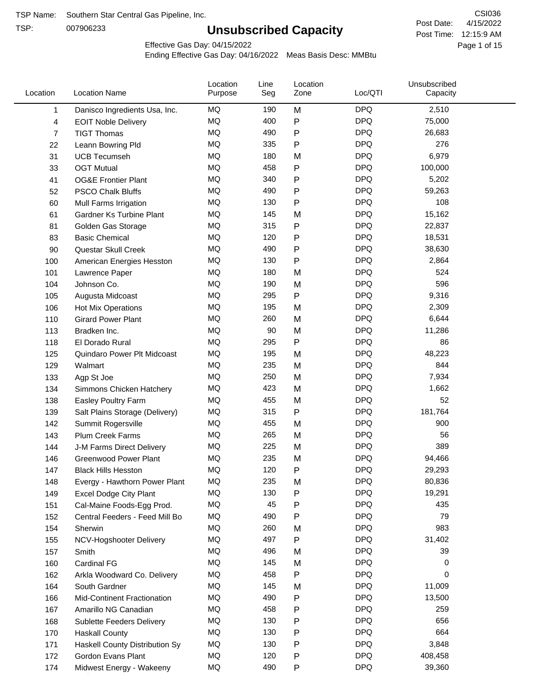TSP:

# **Unsubscribed Capacity**

4/15/2022 Page 1 of 15 Post Time: 12:15:9 AM CSI036 Post Date:

Effective Gas Day: 04/15/2022

| Location | <b>Location Name</b>               | Location<br>Purpose | Line<br>Seg | Location<br>Zone | Loc/QTI    | Unsubscribed<br>Capacity |  |
|----------|------------------------------------|---------------------|-------------|------------------|------------|--------------------------|--|
| 1        | Danisco Ingredients Usa, Inc.      | MQ                  | 190         | M                | <b>DPQ</b> | 2,510                    |  |
| 4        | <b>EOIT Noble Delivery</b>         | MQ                  | 400         | P                | <b>DPQ</b> | 75,000                   |  |
| 7        | <b>TIGT Thomas</b>                 | MQ                  | 490         | P                | <b>DPQ</b> | 26,683                   |  |
| 22       | Leann Bowring Pld                  | MQ                  | 335         | $\mathsf{P}$     | <b>DPQ</b> | 276                      |  |
| 31       | <b>UCB Tecumseh</b>                | MQ                  | 180         | M                | <b>DPQ</b> | 6,979                    |  |
| 33       | <b>OGT Mutual</b>                  | MQ                  | 458         | P                | <b>DPQ</b> | 100,000                  |  |
| 41       | <b>OG&amp;E Frontier Plant</b>     | MQ                  | 340         | P                | <b>DPQ</b> | 5,202                    |  |
| 52       | <b>PSCO Chalk Bluffs</b>           | MQ                  | 490         | $\mathsf{P}$     | <b>DPQ</b> | 59,263                   |  |
| 60       | Mull Farms Irrigation              | MQ                  | 130         | P                | <b>DPQ</b> | 108                      |  |
| 61       | Gardner Ks Turbine Plant           | MQ                  | 145         | M                | <b>DPQ</b> | 15,162                   |  |
| 81       | Golden Gas Storage                 | MQ                  | 315         | P                | <b>DPQ</b> | 22,837                   |  |
| 83       | <b>Basic Chemical</b>              | MQ                  | 120         | P                | <b>DPQ</b> | 18,531                   |  |
| 90       | Questar Skull Creek                | MQ                  | 490         | P                | <b>DPQ</b> | 38,630                   |  |
| 100      | American Energies Hesston          | MQ                  | 130         | P                | <b>DPQ</b> | 2,864                    |  |
| 101      | Lawrence Paper                     | MQ                  | 180         | M                | <b>DPQ</b> | 524                      |  |
| 104      | Johnson Co.                        | MQ                  | 190         | M                | <b>DPQ</b> | 596                      |  |
| 105      | Augusta Midcoast                   | MQ                  | 295         | $\mathsf{P}$     | <b>DPQ</b> | 9,316                    |  |
| 106      | Hot Mix Operations                 | MQ                  | 195         | M                | <b>DPQ</b> | 2,309                    |  |
| 110      | <b>Girard Power Plant</b>          | MQ                  | 260         | M                | <b>DPQ</b> | 6,644                    |  |
| 113      | Bradken Inc.                       | MQ                  | 90          | M                | <b>DPQ</b> | 11,286                   |  |
| 118      | El Dorado Rural                    | MQ                  | 295         | P                | <b>DPQ</b> | 86                       |  |
| 125      | Quindaro Power Plt Midcoast        | MQ                  | 195         | M                | <b>DPQ</b> | 48,223                   |  |
| 129      | Walmart                            | MQ                  | 235         | M                | <b>DPQ</b> | 844                      |  |
| 133      | Agp St Joe                         | MQ                  | 250         | M                | <b>DPQ</b> | 7,934                    |  |
| 134      | Simmons Chicken Hatchery           | MQ                  | 423         | M                | <b>DPQ</b> | 1,662                    |  |
| 138      | Easley Poultry Farm                | MQ                  | 455         | M                | <b>DPQ</b> | 52                       |  |
| 139      | Salt Plains Storage (Delivery)     | MQ                  | 315         | P                | <b>DPQ</b> | 181,764                  |  |
| 142      | Summit Rogersville                 | MQ                  | 455         | M                | <b>DPQ</b> | 900                      |  |
| 143      | <b>Plum Creek Farms</b>            | MQ                  | 265         | M                | <b>DPQ</b> | 56                       |  |
| 144      | J-M Farms Direct Delivery          | MQ                  | 225         | M                | <b>DPQ</b> | 389                      |  |
| 146      | <b>Greenwood Power Plant</b>       | <b>MQ</b>           | 235         | M                | <b>DPQ</b> | 94,466                   |  |
| 147      | <b>Black Hills Hesston</b>         | MQ                  | 120         | Þ                | <b>DPQ</b> | 29,293                   |  |
| 148      | Evergy - Hawthorn Power Plant      | MQ                  | 235         | M                | DPQ        | 80,836                   |  |
| 149      | Excel Dodge City Plant             | MQ                  | 130         | P                | <b>DPQ</b> | 19,291                   |  |
| 151      | Cal-Maine Foods-Egg Prod.          | MQ                  | 45          | P                | <b>DPQ</b> | 435                      |  |
| 152      | Central Feeders - Feed Mill Bo     | MQ                  | 490         | P                | <b>DPQ</b> | 79                       |  |
| 154      | Sherwin                            | MQ                  | 260         | M                | <b>DPQ</b> | 983                      |  |
| 155      | NCV-Hogshooter Delivery            | MQ                  | 497         | P                | <b>DPQ</b> | 31,402                   |  |
| 157      | Smith                              | MQ                  | 496         | M                | <b>DPQ</b> | 39                       |  |
| 160      | Cardinal FG                        | MQ                  | 145         | M                | <b>DPQ</b> | 0                        |  |
| 162      | Arkla Woodward Co. Delivery        | MQ                  | 458         | Ρ                | <b>DPQ</b> | 0                        |  |
| 164      | South Gardner                      | MQ                  | 145         | M                | <b>DPQ</b> | 11,009                   |  |
| 166      | <b>Mid-Continent Fractionation</b> | MQ                  | 490         | P                | <b>DPQ</b> | 13,500                   |  |
| 167      | Amarillo NG Canadian               | MQ                  | 458         | P                | <b>DPQ</b> | 259                      |  |
| 168      | Sublette Feeders Delivery          | MQ                  | 130         | P                | <b>DPQ</b> | 656                      |  |
| 170      | <b>Haskall County</b>              | MQ                  | 130         | P                | <b>DPQ</b> | 664                      |  |
| 171      | Haskell County Distribution Sy     | MQ                  | 130         | P                | <b>DPQ</b> | 3,848                    |  |
| 172      | Gordon Evans Plant                 | MQ                  | 120         | P                | <b>DPQ</b> | 408,458                  |  |
| 174      | Midwest Energy - Wakeeny           | MQ                  | 490         | P                | <b>DPQ</b> | 39,360                   |  |
|          |                                    |                     |             |                  |            |                          |  |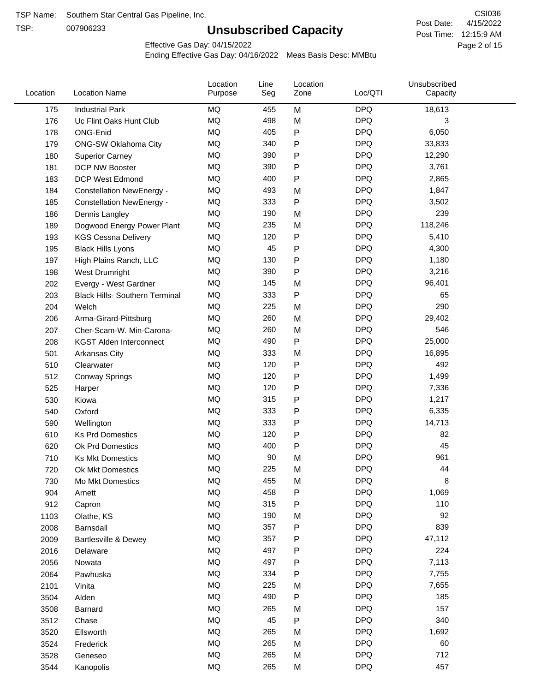TSP:

# **Unsubscribed Capacity**

4/15/2022 Page 2 of 15 Post Time: 12:15:9 AM CSI036 Post Date:

Effective Gas Day: 04/15/2022

| Location | <b>Location Name</b>                  | Location<br>Purpose | Line<br>Seg | Location<br>Zone | Loc/QTI    | Unsubscribed<br>Capacity |  |
|----------|---------------------------------------|---------------------|-------------|------------------|------------|--------------------------|--|
| 175      | <b>Industrial Park</b>                | MQ                  | 455         | M                | <b>DPQ</b> | 18,613                   |  |
| 176      | Uc Flint Oaks Hunt Club               | MQ                  | 498         | M                | <b>DPQ</b> | 3                        |  |
| 178      | ONG-Enid                              | MQ                  | 405         | P                | <b>DPQ</b> | 6,050                    |  |
| 179      | ONG-SW Oklahoma City                  | MQ                  | 340         | P                | <b>DPQ</b> | 33,833                   |  |
| 180      | <b>Superior Carney</b>                | MQ                  | 390         | P                | <b>DPQ</b> | 12,290                   |  |
| 181      | DCP NW Booster                        | <b>MQ</b>           | 390         | P                | <b>DPQ</b> | 3,761                    |  |
| 183      | <b>DCP West Edmond</b>                | MQ                  | 400         | P                | <b>DPQ</b> | 2,865                    |  |
| 184      | <b>Constellation NewEnergy -</b>      | MQ                  | 493         | M                | <b>DPQ</b> | 1,847                    |  |
| 185      | <b>Constellation NewEnergy -</b>      | MQ                  | 333         | P                | <b>DPQ</b> | 3,502                    |  |
| 186      | Dennis Langley                        | MQ                  | 190         | M                | <b>DPQ</b> | 239                      |  |
| 189      | Dogwood Energy Power Plant            | MQ                  | 235         | M                | <b>DPQ</b> | 118,246                  |  |
| 193      | <b>KGS Cessna Delivery</b>            | MQ                  | 120         | P                | <b>DPQ</b> | 5,410                    |  |
| 195      | <b>Black Hills Lyons</b>              | <b>MQ</b>           | 45          | P                | <b>DPQ</b> | 4,300                    |  |
| 197      | High Plains Ranch, LLC                | <b>MQ</b>           | 130         | P                | <b>DPQ</b> | 1,180                    |  |
| 198      | West Drumright                        | <b>MQ</b>           | 390         | P                | <b>DPQ</b> | 3,216                    |  |
| 202      | Evergy - West Gardner                 | <b>MQ</b>           | 145         | M                | <b>DPQ</b> | 96,401                   |  |
| 203      | <b>Black Hills- Southern Terminal</b> | <b>MQ</b>           | 333         | P                | <b>DPQ</b> | 65                       |  |
| 204      | Welch                                 | MQ                  | 225         | M                | <b>DPQ</b> | 290                      |  |
| 206      | Arma-Girard-Pittsburg                 | <b>MQ</b>           | 260         | M                | <b>DPQ</b> | 29,402                   |  |
| 207      | Cher-Scam-W. Min-Carona-              | MQ                  | 260         | M                | <b>DPQ</b> | 546                      |  |
| 208      | <b>KGST Alden Interconnect</b>        | <b>MQ</b>           | 490         | P                | <b>DPQ</b> | 25,000                   |  |
| 501      | Arkansas City                         | <b>MQ</b>           | 333         | M                | <b>DPQ</b> | 16,895                   |  |
| 510      | Clearwater                            | <b>MQ</b>           | 120         | P                | <b>DPQ</b> | 492                      |  |
| 512      | <b>Conway Springs</b>                 | <b>MQ</b>           | 120         | P                | <b>DPQ</b> | 1,499                    |  |
| 525      | Harper                                | <b>MQ</b>           | 120         | P                | <b>DPQ</b> | 7,336                    |  |
| 530      | Kiowa                                 | <b>MQ</b>           | 315         | P                | <b>DPQ</b> | 1,217                    |  |
| 540      | Oxford                                | <b>MQ</b>           | 333         | P                | <b>DPQ</b> | 6,335                    |  |
| 590      | Wellington                            | <b>MQ</b>           | 333         | P                | <b>DPQ</b> | 14,713                   |  |
| 610      | <b>Ks Prd Domestics</b>               | <b>MQ</b>           | 120         | P                | <b>DPQ</b> | 82                       |  |
| 620      | Ok Prd Domestics                      | <b>MQ</b>           | 400         | P                | <b>DPQ</b> | 45                       |  |
| 710      | <b>Ks Mkt Domestics</b>               | <b>MQ</b>           | 90          | M                | <b>DPQ</b> | 961                      |  |
| 720      | Ok Mkt Domestics                      | MQ                  | 225         | M                | <b>DPQ</b> | 44                       |  |
| 730      | Mo Mkt Domestics                      | MQ                  | 455         | M                | <b>DPQ</b> | 8                        |  |
| 904      | Arnett                                | MQ                  | 458         | P                | <b>DPQ</b> | 1,069                    |  |
| 912      | Capron                                | <b>MQ</b>           | 315         | P                | <b>DPQ</b> | 110                      |  |
| 1103     | Olathe, KS                            | <b>MQ</b>           | 190         | M                | <b>DPQ</b> | 92                       |  |
| 2008     | Barnsdall                             | MQ                  | 357         | Ρ                | <b>DPQ</b> | 839                      |  |
| 2009     | Bartlesville & Dewey                  | MQ                  | 357         | P                | <b>DPQ</b> | 47,112                   |  |
| 2016     | Delaware                              | MQ                  | 497         | P                | <b>DPQ</b> | 224                      |  |
| 2056     | Nowata                                | MQ                  | 497         | Ρ                | <b>DPQ</b> | 7,113                    |  |
| 2064     | Pawhuska                              | MQ                  | 334         | Ρ                | <b>DPQ</b> | 7,755                    |  |
| 2101     | Vinita                                | MQ                  | 225         | M                | <b>DPQ</b> | 7,655                    |  |
| 3504     | Alden                                 | MQ                  | 490         | Ρ                | <b>DPQ</b> | 185                      |  |
| 3508     | Barnard                               | MQ                  | 265         | M                | <b>DPQ</b> | 157                      |  |
| 3512     | Chase                                 | <b>MQ</b>           | 45          | P                | <b>DPQ</b> | 340                      |  |
| 3520     | Ellsworth                             | MQ                  | 265         | M                | <b>DPQ</b> | 1,692                    |  |
| 3524     | Frederick                             | MQ                  | 265         | M                | <b>DPQ</b> | 60                       |  |
| 3528     | Geneseo                               | MQ                  | 265         | M                | <b>DPQ</b> | 712                      |  |
| 3544     | Kanopolis                             | $\sf{MQ}$           | 265         | M                | <b>DPQ</b> | 457                      |  |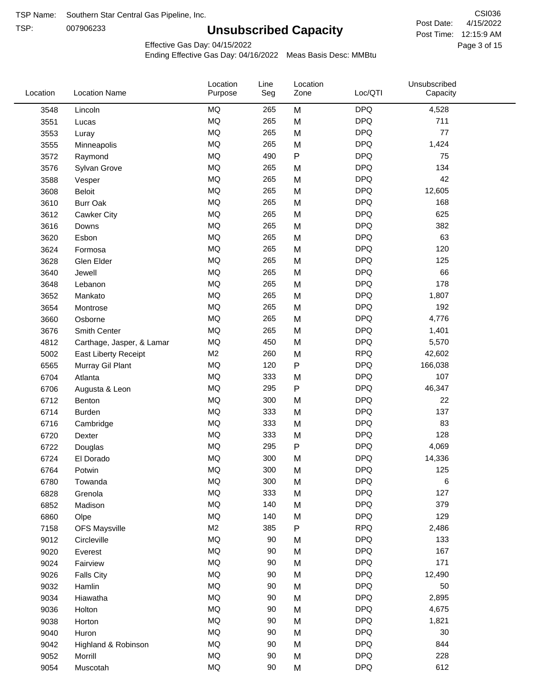TSP:

# **Unsubscribed Capacity**

4/15/2022 Page 3 of 15 Post Time: 12:15:9 AM CSI036 Post Date:

Effective Gas Day: 04/15/2022

| Location | <b>Location Name</b>      | Location<br>Purpose | Line<br>Seg | Location<br>Zone | Loc/QTI    | Unsubscribed<br>Capacity |  |
|----------|---------------------------|---------------------|-------------|------------------|------------|--------------------------|--|
| 3548     | Lincoln                   | MQ                  | 265         | M                | <b>DPQ</b> | 4,528                    |  |
| 3551     | Lucas                     | MQ                  | 265         | M                | <b>DPQ</b> | 711                      |  |
| 3553     | Luray                     | <b>MQ</b>           | 265         | M                | <b>DPQ</b> | 77                       |  |
| 3555     | Minneapolis               | <b>MQ</b>           | 265         | M                | <b>DPQ</b> | 1,424                    |  |
| 3572     | Raymond                   | <b>MQ</b>           | 490         | P                | <b>DPQ</b> | 75                       |  |
| 3576     | Sylvan Grove              | MQ                  | 265         | M                | <b>DPQ</b> | 134                      |  |
| 3588     | Vesper                    | MQ                  | 265         | M                | <b>DPQ</b> | 42                       |  |
| 3608     | <b>Beloit</b>             | MQ                  | 265         | M                | <b>DPQ</b> | 12,605                   |  |
| 3610     | <b>Burr Oak</b>           | MQ                  | 265         | M                | <b>DPQ</b> | 168                      |  |
| 3612     | Cawker City               | MQ                  | 265         | M                | <b>DPQ</b> | 625                      |  |
| 3616     | Downs                     | MQ                  | 265         | M                | <b>DPQ</b> | 382                      |  |
| 3620     | Esbon                     | <b>MQ</b>           | 265         | M                | <b>DPQ</b> | 63                       |  |
| 3624     | Formosa                   | <b>MQ</b>           | 265         | M                | <b>DPQ</b> | 120                      |  |
| 3628     | Glen Elder                | <b>MQ</b>           | 265         | M                | <b>DPQ</b> | 125                      |  |
| 3640     | Jewell                    | MQ                  | 265         | M                | <b>DPQ</b> | 66                       |  |
| 3648     | Lebanon                   | MQ                  | 265         | M                | <b>DPQ</b> | 178                      |  |
| 3652     | Mankato                   | MQ                  | 265         | M                | <b>DPQ</b> | 1,807                    |  |
| 3654     | Montrose                  | MQ                  | 265         | M                | <b>DPQ</b> | 192                      |  |
| 3660     | Osborne                   | MQ                  | 265         | M                | <b>DPQ</b> | 4,776                    |  |
| 3676     | Smith Center              | MQ                  | 265         | M                | <b>DPQ</b> | 1,401                    |  |
| 4812     | Carthage, Jasper, & Lamar | <b>MQ</b>           | 450         | M                | <b>DPQ</b> | 5,570                    |  |
| 5002     | East Liberty Receipt      | M <sub>2</sub>      | 260         | M                | <b>RPQ</b> | 42,602                   |  |
| 6565     | Murray Gil Plant          | <b>MQ</b>           | 120         | $\mathsf{P}$     | <b>DPQ</b> | 166,038                  |  |
| 6704     | Atlanta                   | MQ                  | 333         | M                | <b>DPQ</b> | 107                      |  |
| 6706     | Augusta & Leon            | MQ                  | 295         | P                | <b>DPQ</b> | 46,347                   |  |
| 6712     | Benton                    | MQ                  | 300         | M                | <b>DPQ</b> | 22                       |  |
| 6714     | <b>Burden</b>             | MQ                  | 333         | M                | <b>DPQ</b> | 137                      |  |
| 6716     | Cambridge                 | MQ                  | 333         | M                | <b>DPQ</b> | 83                       |  |
| 6720     | Dexter                    | MQ                  | 333         | M                | <b>DPQ</b> | 128                      |  |
| 6722     | Douglas                   | <b>MQ</b>           | 295         | P                | <b>DPQ</b> | 4,069                    |  |
| 6724     | El Dorado                 | <b>MQ</b>           | 300         | M                | <b>DPQ</b> | 14,336                   |  |
| 6764     | Potwin                    | <b>MQ</b>           | 300         | M                | <b>DPQ</b> | 125                      |  |
| 6780     | Towanda                   | MQ                  | 300         | M                | <b>DPQ</b> | 6                        |  |
| 6828     | Grenola                   | $\sf{MQ}$           | 333         | M                | <b>DPQ</b> | 127                      |  |
| 6852     | Madison                   | MQ                  | 140         | M                | <b>DPQ</b> | 379                      |  |
| 6860     | Olpe                      | MQ                  | 140         | M                | <b>DPQ</b> | 129                      |  |
| 7158     | <b>OFS Maysville</b>      | M <sub>2</sub>      | 385         | P                | <b>RPQ</b> | 2,486                    |  |
| 9012     | Circleville               | MQ                  | 90          | M                | <b>DPQ</b> | 133                      |  |
| 9020     | Everest                   | $\sf{MQ}$           | 90          | M                | <b>DPQ</b> | 167                      |  |
| 9024     | Fairview                  | $\sf{MQ}$           | 90          | M                | <b>DPQ</b> | 171                      |  |
| 9026     | <b>Falls City</b>         | MQ                  | 90          | M                | <b>DPQ</b> | 12,490                   |  |
| 9032     | Hamlin                    | MQ                  | 90          | M                | <b>DPQ</b> | 50                       |  |
| 9034     | Hiawatha                  | MQ                  | $90\,$      | M                | <b>DPQ</b> | 2,895                    |  |
| 9036     | Holton                    | MQ                  | 90          | M                | <b>DPQ</b> | 4,675                    |  |
| 9038     | Horton                    | $\sf{MQ}$           | 90          | M                | <b>DPQ</b> | 1,821                    |  |
| 9040     | Huron                     | MQ                  | 90          | M                | <b>DPQ</b> | 30                       |  |
| 9042     | Highland & Robinson       | MQ                  | 90          | M                | <b>DPQ</b> | 844                      |  |
| 9052     | Morrill                   | $\sf{MQ}$           | 90          | M                | <b>DPQ</b> | 228                      |  |
| 9054     | Muscotah                  | $\sf{MQ}$           | 90          | M                | <b>DPQ</b> | 612                      |  |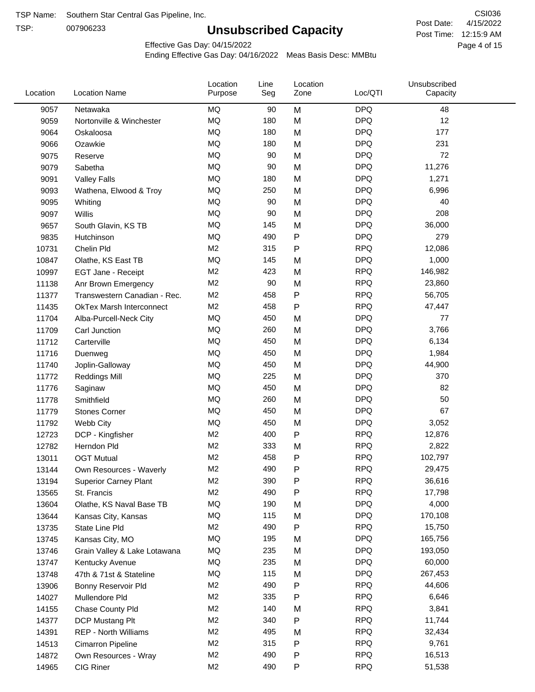TSP:

# **Unsubscribed Capacity**

4/15/2022 Page 4 of 15 Post Time: 12:15:9 AM CSI036 Post Date:

Effective Gas Day: 04/15/2022

| Location | <b>Location Name</b>            | Location<br>Purpose | Line<br>Seg | Location<br>Zone | Loc/QTI    | Unsubscribed<br>Capacity |  |
|----------|---------------------------------|---------------------|-------------|------------------|------------|--------------------------|--|
| 9057     | Netawaka                        | <b>MQ</b>           | 90          | M                | <b>DPQ</b> | 48                       |  |
| 9059     | Nortonville & Winchester        | MQ                  | 180         | M                | <b>DPQ</b> | 12                       |  |
| 9064     | Oskaloosa                       | MQ                  | 180         | M                | <b>DPQ</b> | 177                      |  |
| 9066     | Ozawkie                         | MQ                  | 180         | M                | <b>DPQ</b> | 231                      |  |
| 9075     | Reserve                         | <b>MQ</b>           | 90          | M                | <b>DPQ</b> | 72                       |  |
| 9079     | Sabetha                         | <b>MQ</b>           | 90          | M                | <b>DPQ</b> | 11,276                   |  |
| 9091     | <b>Valley Falls</b>             | MQ                  | 180         | M                | <b>DPQ</b> | 1,271                    |  |
| 9093     | Wathena, Elwood & Troy          | <b>MQ</b>           | 250         | M                | <b>DPQ</b> | 6,996                    |  |
| 9095     | Whiting                         | MQ                  | 90          | M                | <b>DPQ</b> | 40                       |  |
| 9097     | Willis                          | <b>MQ</b>           | 90          | M                | <b>DPQ</b> | 208                      |  |
| 9657     | South Glavin, KS TB             | MQ                  | 145         | M                | <b>DPQ</b> | 36,000                   |  |
| 9835     | Hutchinson                      | MQ                  | 490         | P                | <b>DPQ</b> | 279                      |  |
| 10731    | Chelin Pld                      | M <sub>2</sub>      | 315         | P                | <b>RPQ</b> | 12,086                   |  |
| 10847    | Olathe, KS East TB              | <b>MQ</b>           | 145         | M                | <b>DPQ</b> | 1,000                    |  |
| 10997    | EGT Jane - Receipt              | M <sub>2</sub>      | 423         | M                | <b>RPQ</b> | 146,982                  |  |
| 11138    | Anr Brown Emergency             | M <sub>2</sub>      | 90          | M                | <b>RPQ</b> | 23,860                   |  |
| 11377    | Transwestern Canadian - Rec.    | M <sub>2</sub>      | 458         | P                | <b>RPQ</b> | 56,705                   |  |
| 11435    | <b>OkTex Marsh Interconnect</b> | M <sub>2</sub>      | 458         | Ρ                | <b>RPQ</b> | 47,447                   |  |
| 11704    | Alba-Purcell-Neck City          | <b>MQ</b>           | 450         | M                | <b>DPQ</b> | 77                       |  |
| 11709    | Carl Junction                   | <b>MQ</b>           | 260         | M                | <b>DPQ</b> | 3,766                    |  |
| 11712    | Carterville                     | MQ                  | 450         | M                | <b>DPQ</b> | 6,134                    |  |
| 11716    | Duenweg                         | MQ                  | 450         | M                | <b>DPQ</b> | 1,984                    |  |
| 11740    | Joplin-Galloway                 | <b>MQ</b>           | 450         | M                | <b>DPQ</b> | 44,900                   |  |
| 11772    | <b>Reddings Mill</b>            | <b>MQ</b>           | 225         | M                | <b>DPQ</b> | 370                      |  |
| 11776    | Saginaw                         | <b>MQ</b>           | 450         | M                | <b>DPQ</b> | 82                       |  |
| 11778    | Smithfield                      | MQ                  | 260         | M                | <b>DPQ</b> | 50                       |  |
| 11779    | <b>Stones Corner</b>            | MQ                  | 450         | M                | <b>DPQ</b> | 67                       |  |
| 11792    | Webb City                       | <b>MQ</b>           | 450         | M                | <b>DPQ</b> | 3,052                    |  |
| 12723    | DCP - Kingfisher                | M <sub>2</sub>      | 400         | P                | <b>RPQ</b> | 12,876                   |  |
| 12782    | Herndon Pld                     | M <sub>2</sub>      | 333         | M                | <b>RPQ</b> | 2,822                    |  |
| 13011    | <b>OGT Mutual</b>               | M <sub>2</sub>      | 458         | P                | <b>RPQ</b> | 102,797                  |  |
| 13144    | Own Resources - Waverly         | M <sub>2</sub>      | 490         | P                | <b>RPQ</b> | 29,475                   |  |
| 13194    | <b>Superior Carney Plant</b>    | M <sub>2</sub>      | 390         | P                | <b>RPQ</b> | 36,616                   |  |
| 13565    | St. Francis                     | M2                  | 490         | Ρ                | <b>RPQ</b> | 17,798                   |  |
| 13604    | Olathe, KS Naval Base TB        | MQ                  | 190         | M                | <b>DPQ</b> | 4,000                    |  |
| 13644    | Kansas City, Kansas             | MQ                  | 115         | M                | <b>DPQ</b> | 170,108                  |  |
| 13735    | State Line Pld                  | M <sub>2</sub>      | 490         | Ρ                | <b>RPQ</b> | 15,750                   |  |
| 13745    | Kansas City, MO                 | <b>MQ</b>           | 195         | M                | <b>DPQ</b> | 165,756                  |  |
| 13746    | Grain Valley & Lake Lotawana    | MQ                  | 235         | M                | <b>DPQ</b> | 193,050                  |  |
| 13747    | Kentucky Avenue                 | MQ                  | 235         | M                | <b>DPQ</b> | 60,000                   |  |
| 13748    | 47th & 71st & Stateline         | MQ                  | 115         | M                | <b>DPQ</b> | 267,453                  |  |
| 13906    | Bonny Reservoir Pld             | M <sub>2</sub>      | 490         | Ρ                | <b>RPQ</b> | 44,606                   |  |
| 14027    | Mullendore Pld                  | M <sub>2</sub>      | 335         | Ρ                | <b>RPQ</b> | 6,646                    |  |
| 14155    | Chase County Pld                | M <sub>2</sub>      | 140         | M                | <b>RPQ</b> | 3,841                    |  |
| 14377    | DCP Mustang Plt                 | M <sub>2</sub>      | 340         | Ρ                | <b>RPQ</b> | 11,744                   |  |
| 14391    | <b>REP - North Williams</b>     | M <sub>2</sub>      | 495         | M                | <b>RPQ</b> | 32,434                   |  |
| 14513    | Cimarron Pipeline               | M <sub>2</sub>      | 315         | P                | <b>RPQ</b> | 9,761                    |  |
| 14872    | Own Resources - Wray            | M <sub>2</sub>      | 490         | Ρ                | <b>RPQ</b> | 16,513                   |  |
| 14965    | CIG Riner                       | M <sub>2</sub>      | 490         | P                | <b>RPQ</b> | 51,538                   |  |
|          |                                 |                     |             |                  |            |                          |  |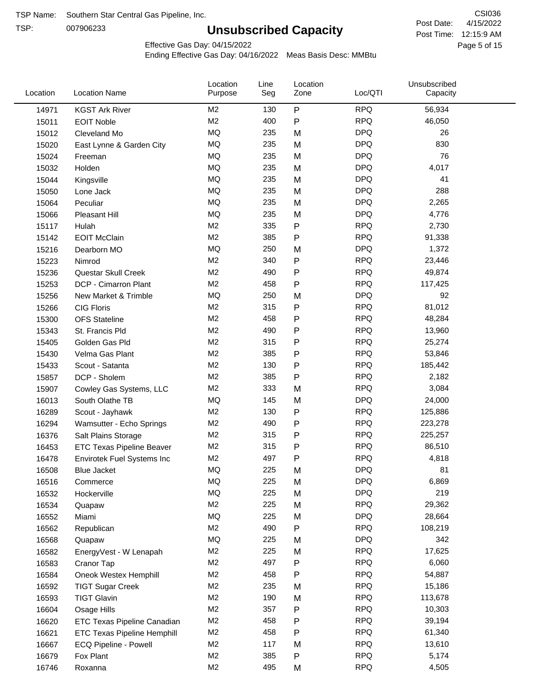TSP:

# **Unsubscribed Capacity**

4/15/2022 Page 5 of 15 Post Time: 12:15:9 AM CSI036 Post Date:

Effective Gas Day: 04/15/2022

| Location | <b>Location Name</b>               | Location<br>Purpose | Line<br>Seg | Location<br>Zone | Loc/QTI    | Unsubscribed<br>Capacity |  |
|----------|------------------------------------|---------------------|-------------|------------------|------------|--------------------------|--|
| 14971    | <b>KGST Ark River</b>              | M <sub>2</sub>      | 130         | $\mathsf{P}$     | <b>RPQ</b> | 56,934                   |  |
| 15011    | <b>EOIT Noble</b>                  | M <sub>2</sub>      | 400         | $\mathsf{P}$     | <b>RPQ</b> | 46,050                   |  |
| 15012    | Cleveland Mo                       | MQ                  | 235         | M                | <b>DPQ</b> | 26                       |  |
| 15020    | East Lynne & Garden City           | MQ                  | 235         | M                | <b>DPQ</b> | 830                      |  |
| 15024    | Freeman                            | MQ                  | 235         | M                | <b>DPQ</b> | 76                       |  |
| 15032    | Holden                             | MQ                  | 235         | M                | <b>DPQ</b> | 4,017                    |  |
| 15044    | Kingsville                         | MQ                  | 235         | M                | <b>DPQ</b> | 41                       |  |
| 15050    | Lone Jack                          | MQ                  | 235         | M                | <b>DPQ</b> | 288                      |  |
| 15064    | Peculiar                           | MQ                  | 235         | M                | <b>DPQ</b> | 2,265                    |  |
| 15066    | Pleasant Hill                      | MQ                  | 235         | M                | <b>DPQ</b> | 4,776                    |  |
| 15117    | Hulah                              | M <sub>2</sub>      | 335         | P                | <b>RPQ</b> | 2,730                    |  |
| 15142    | <b>EOIT McClain</b>                | M <sub>2</sub>      | 385         | P                | <b>RPQ</b> | 91,338                   |  |
| 15216    | Dearborn MO                        | MQ                  | 250         | M                | <b>DPQ</b> | 1,372                    |  |
| 15223    | Nimrod                             | M <sub>2</sub>      | 340         | $\mathsf{P}$     | <b>RPQ</b> | 23,446                   |  |
| 15236    | Questar Skull Creek                | M <sub>2</sub>      | 490         | P                | <b>RPQ</b> | 49,874                   |  |
| 15253    | DCP - Cimarron Plant               | M <sub>2</sub>      | 458         | P                | <b>RPQ</b> | 117,425                  |  |
| 15256    | New Market & Trimble               | MQ                  | 250         | M                | <b>DPQ</b> | 92                       |  |
| 15266    | <b>CIG Floris</b>                  | M <sub>2</sub>      | 315         | $\mathsf{P}$     | <b>RPQ</b> | 81,012                   |  |
| 15300    | <b>OFS Stateline</b>               | M <sub>2</sub>      | 458         | P                | <b>RPQ</b> | 48,284                   |  |
| 15343    | St. Francis Pld                    | M <sub>2</sub>      | 490         | $\mathsf{P}$     | <b>RPQ</b> | 13,960                   |  |
| 15405    | Golden Gas Pld                     | M <sub>2</sub>      | 315         | P                | <b>RPQ</b> | 25,274                   |  |
| 15430    | Velma Gas Plant                    | M <sub>2</sub>      | 385         | $\mathsf{P}$     | <b>RPQ</b> | 53,846                   |  |
| 15433    | Scout - Satanta                    | M <sub>2</sub>      | 130         | $\mathsf{P}$     | <b>RPQ</b> | 185,442                  |  |
| 15857    | DCP - Sholem                       | M <sub>2</sub>      | 385         | P                | <b>RPQ</b> | 2,182                    |  |
| 15907    | Cowley Gas Systems, LLC            | M <sub>2</sub>      | 333         | M                | <b>RPQ</b> | 3,084                    |  |
| 16013    | South Olathe TB                    | MQ                  | 145         | M                | <b>DPQ</b> | 24,000                   |  |
| 16289    | Scout - Jayhawk                    | M <sub>2</sub>      | 130         | P                | <b>RPQ</b> | 125,886                  |  |
| 16294    | Wamsutter - Echo Springs           | M <sub>2</sub>      | 490         | P                | <b>RPQ</b> | 223,278                  |  |
| 16376    | Salt Plains Storage                | M <sub>2</sub>      | 315         | $\mathsf{P}$     | <b>RPQ</b> | 225,257                  |  |
| 16453    | <b>ETC Texas Pipeline Beaver</b>   | M <sub>2</sub>      | 315         | P                | <b>RPQ</b> | 86,510                   |  |
| 16478    | Envirotek Fuel Systems Inc         | M <sub>2</sub>      | 497         | Ρ                | <b>RPQ</b> | 4,818                    |  |
| 16508    | Blue Jacket                        | MQ                  | 225         | M                | <b>DPQ</b> | 81                       |  |
| 16516    | Commerce                           | MQ                  | 225         | M                | <b>DPQ</b> | 6,869                    |  |
| 16532    | Hockerville                        | MQ                  | 225         | M                | <b>DPQ</b> | 219                      |  |
| 16534    | Quapaw                             | M <sub>2</sub>      | 225         | M                | <b>RPQ</b> | 29,362                   |  |
| 16552    | Miami                              | MQ                  | 225         | M                | <b>DPQ</b> | 28,664                   |  |
| 16562    | Republican                         | M <sub>2</sub>      | 490         | Ρ                | <b>RPQ</b> | 108,219                  |  |
| 16568    | Quapaw                             | MQ                  | 225         | M                | <b>DPQ</b> | 342                      |  |
| 16582    | EnergyVest - W Lenapah             | M <sub>2</sub>      | 225         | M                | <b>RPQ</b> | 17,625                   |  |
| 16583    | Cranor Tap                         | M <sub>2</sub>      | 497         | Ρ                | <b>RPQ</b> | 6,060                    |  |
| 16584    | Oneok Westex Hemphill              | M <sub>2</sub>      | 458         | Ρ                | <b>RPQ</b> | 54,887                   |  |
| 16592    | <b>TIGT Sugar Creek</b>            | M <sub>2</sub>      | 235         | M                | <b>RPQ</b> | 15,186                   |  |
| 16593    | <b>TIGT Glavin</b>                 | M <sub>2</sub>      | 190         | M                | <b>RPQ</b> | 113,678                  |  |
| 16604    | Osage Hills                        | M <sub>2</sub>      | 357         | Ρ                | <b>RPQ</b> | 10,303                   |  |
| 16620    | <b>ETC Texas Pipeline Canadian</b> | M <sub>2</sub>      | 458         | P                | <b>RPQ</b> | 39,194                   |  |
| 16621    | <b>ETC Texas Pipeline Hemphill</b> | M <sub>2</sub>      | 458         | P                | <b>RPQ</b> | 61,340                   |  |
| 16667    | ECQ Pipeline - Powell              | M <sub>2</sub>      | 117         | M                | <b>RPQ</b> | 13,610                   |  |
| 16679    | Fox Plant                          | M <sub>2</sub>      | 385         | Ρ                | <b>RPQ</b> | 5,174                    |  |
| 16746    | Roxanna                            | M <sub>2</sub>      | 495         | М                | <b>RPQ</b> | 4,505                    |  |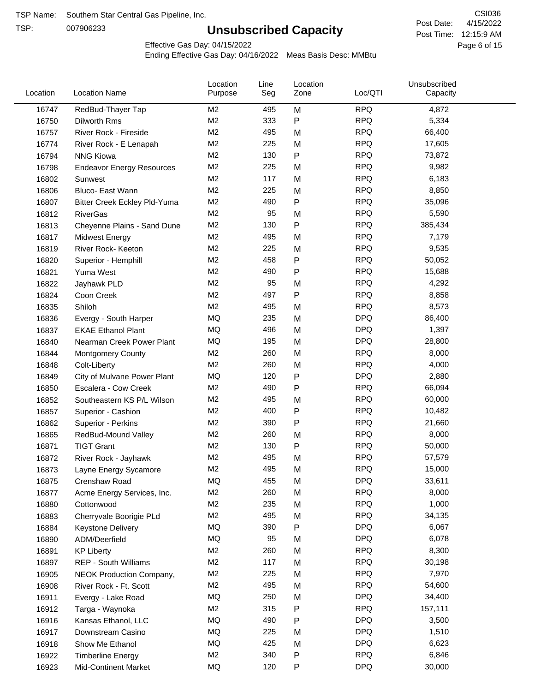TSP:

# **Unsubscribed Capacity**

4/15/2022 Page 6 of 15 Post Time: 12:15:9 AM CSI036 Post Date:

Unsubscribed

Effective Gas Day: 04/15/2022

Location

Ending Effective Gas Day: 04/16/2022 Meas Basis Desc: MMBtu

Line

Location

| Location | <b>Location Name</b>                | Purpose        | Seg | Zone | Loc/QTI    | Capacity |  |
|----------|-------------------------------------|----------------|-----|------|------------|----------|--|
| 16747    | RedBud-Thayer Tap                   | M <sub>2</sub> | 495 | M    | <b>RPQ</b> | 4,872    |  |
| 16750    | Dilworth Rms                        | M <sub>2</sub> | 333 | P    | <b>RPQ</b> | 5,334    |  |
| 16757    | River Rock - Fireside               | M <sub>2</sub> | 495 | M    | <b>RPQ</b> | 66,400   |  |
| 16774    | River Rock - E Lenapah              | M <sub>2</sub> | 225 | M    | <b>RPQ</b> | 17,605   |  |
| 16794    | <b>NNG Kiowa</b>                    | M <sub>2</sub> | 130 | P    | <b>RPQ</b> | 73,872   |  |
| 16798    | <b>Endeavor Energy Resources</b>    | M <sub>2</sub> | 225 | M    | <b>RPQ</b> | 9,982    |  |
| 16802    | Sunwest                             | M <sub>2</sub> | 117 | M    | <b>RPQ</b> | 6,183    |  |
| 16806    | Bluco- East Wann                    | M <sub>2</sub> | 225 | M    | <b>RPQ</b> | 8,850    |  |
| 16807    | <b>Bitter Creek Eckley Pld-Yuma</b> | M <sub>2</sub> | 490 | P    | <b>RPQ</b> | 35,096   |  |
| 16812    | <b>RiverGas</b>                     | M <sub>2</sub> | 95  | M    | <b>RPQ</b> | 5,590    |  |
| 16813    | Cheyenne Plains - Sand Dune         | M <sub>2</sub> | 130 | P    | <b>RPQ</b> | 385,434  |  |
| 16817    | <b>Midwest Energy</b>               | M <sub>2</sub> | 495 | M    | <b>RPQ</b> | 7,179    |  |
| 16819    | River Rock- Keeton                  | M <sub>2</sub> | 225 | M    | <b>RPQ</b> | 9,535    |  |
| 16820    | Superior - Hemphill                 | M <sub>2</sub> | 458 | P    | <b>RPQ</b> | 50,052   |  |
| 16821    | Yuma West                           | M <sub>2</sub> | 490 | Ρ    | <b>RPQ</b> | 15,688   |  |
| 16822    | Jayhawk PLD                         | M <sub>2</sub> | 95  | M    | <b>RPQ</b> | 4,292    |  |
| 16824    | Coon Creek                          | M <sub>2</sub> | 497 | P    | <b>RPQ</b> | 8,858    |  |
| 16835    | Shiloh                              | M <sub>2</sub> | 495 | M    | <b>RPQ</b> | 8,573    |  |
| 16836    | Evergy - South Harper               | MQ             | 235 | M    | <b>DPQ</b> | 86,400   |  |
| 16837    | <b>EKAE Ethanol Plant</b>           | MQ             | 496 | M    | <b>DPQ</b> | 1,397    |  |
| 16840    | Nearman Creek Power Plant           | MQ             | 195 | M    | <b>DPQ</b> | 28,800   |  |
| 16844    | <b>Montgomery County</b>            | M <sub>2</sub> | 260 | M    | <b>RPQ</b> | 8,000    |  |
| 16848    | Colt-Liberty                        | M <sub>2</sub> | 260 | M    | <b>RPQ</b> | 4,000    |  |
| 16849    | City of Mulvane Power Plant         | MQ             | 120 | P    | <b>DPQ</b> | 2,880    |  |
| 16850    | Escalera - Cow Creek                | M <sub>2</sub> | 490 | Ρ    | <b>RPQ</b> | 66,094   |  |
| 16852    | Southeastern KS P/L Wilson          | M <sub>2</sub> | 495 | M    | <b>RPQ</b> | 60,000   |  |
| 16857    | Superior - Cashion                  | M <sub>2</sub> | 400 | P    | <b>RPQ</b> | 10,482   |  |
| 16862    | Superior - Perkins                  | M <sub>2</sub> | 390 | P    | <b>RPQ</b> | 21,660   |  |
| 16865    | RedBud-Mound Valley                 | M <sub>2</sub> | 260 | M    | <b>RPQ</b> | 8,000    |  |
| 16871    | <b>TIGT Grant</b>                   | M <sub>2</sub> | 130 | P    | <b>RPQ</b> | 50,000   |  |
| 16872    | River Rock - Jayhawk                | M <sub>2</sub> | 495 | M    | <b>RPQ</b> | 57,579   |  |
| 16873    | Layne Energy Sycamore               | M <sub>2</sub> | 495 | M    | <b>RPQ</b> | 15,000   |  |
| 16875    | Crenshaw Road                       | MQ             | 455 | M    | <b>DPQ</b> | 33,611   |  |
| 16877    | Acme Energy Services, Inc.          | M2             | 260 | M    | <b>RPQ</b> | 8,000    |  |
| 16880    | Cottonwood                          | M <sub>2</sub> | 235 | M    | <b>RPQ</b> | 1,000    |  |
| 16883    | Cherryvale Boorigie PLd             | M <sub>2</sub> | 495 | M    | <b>RPQ</b> | 34,135   |  |
| 16884    | <b>Keystone Delivery</b>            | MQ             | 390 | P    | <b>DPQ</b> | 6,067    |  |
| 16890    | ADM/Deerfield                       | MQ             | 95  | M    | <b>DPQ</b> | 6,078    |  |
| 16891    | <b>KP Liberty</b>                   | M <sub>2</sub> | 260 | M    | <b>RPQ</b> | 8,300    |  |
| 16897    | <b>REP - South Williams</b>         | M <sub>2</sub> | 117 | M    | <b>RPQ</b> | 30,198   |  |
| 16905    | NEOK Production Company,            | M2             | 225 | M    | <b>RPQ</b> | 7,970    |  |
| 16908    | River Rock - Ft. Scott              | M2             | 495 | M    | <b>RPQ</b> | 54,600   |  |
| 16911    | Evergy - Lake Road                  | MQ             | 250 | M    | <b>DPQ</b> | 34,400   |  |
| 16912    | Targa - Waynoka                     | M <sub>2</sub> | 315 | P    | <b>RPQ</b> | 157,111  |  |
| 16916    | Kansas Ethanol, LLC                 | MQ             | 490 | P    | <b>DPQ</b> | 3,500    |  |
| 16917    | Downstream Casino                   | MQ             | 225 | M    | <b>DPQ</b> | 1,510    |  |
| 16918    | Show Me Ethanol                     | MQ             | 425 | M    | <b>DPQ</b> | 6,623    |  |
| 16922    | <b>Timberline Energy</b>            | M <sub>2</sub> | 340 | P    | <b>RPQ</b> | 6,846    |  |
| 16923    | <b>Mid-Continent Market</b>         | MQ             | 120 | P    | <b>DPQ</b> | 30,000   |  |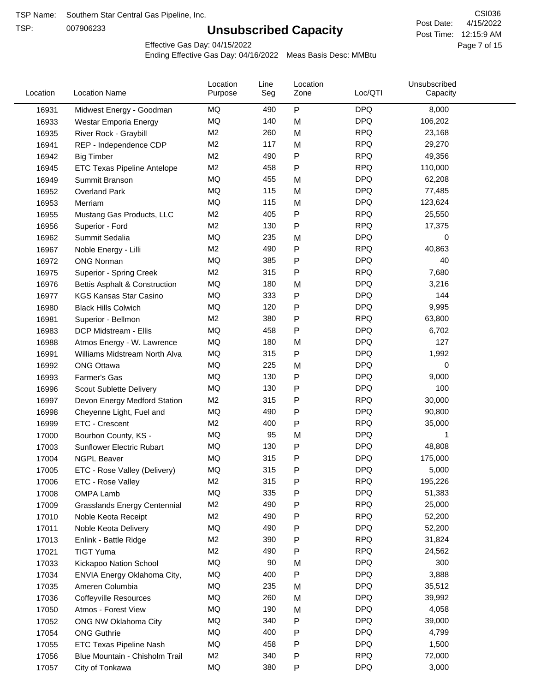TSP:

# **Unsubscribed Capacity**

4/15/2022 Page 7 of 15 Post Time: 12:15:9 AM CSI036 Post Date:

Effective Gas Day: 04/15/2022

| Location | <b>Location Name</b>                | Location<br>Purpose | Line<br>Seg | Location<br>Zone | Loc/QTI    | Unsubscribed<br>Capacity |  |
|----------|-------------------------------------|---------------------|-------------|------------------|------------|--------------------------|--|
| 16931    | Midwest Energy - Goodman            | MQ                  | 490         | ${\sf P}$        | <b>DPQ</b> | 8,000                    |  |
| 16933    | Westar Emporia Energy               | MQ                  | 140         | M                | <b>DPQ</b> | 106,202                  |  |
| 16935    | River Rock - Graybill               | M <sub>2</sub>      | 260         | M                | <b>RPQ</b> | 23,168                   |  |
| 16941    | REP - Independence CDP              | M <sub>2</sub>      | 117         | M                | <b>RPQ</b> | 29,270                   |  |
| 16942    | <b>Big Timber</b>                   | M <sub>2</sub>      | 490         | $\mathsf{P}$     | <b>RPQ</b> | 49,356                   |  |
| 16945    | ETC Texas Pipeline Antelope         | M <sub>2</sub>      | 458         | $\mathsf{P}$     | <b>RPQ</b> | 110,000                  |  |
| 16949    | Summit Branson                      | MQ                  | 455         | M                | <b>DPQ</b> | 62,208                   |  |
| 16952    | <b>Overland Park</b>                | MQ                  | 115         | M                | <b>DPQ</b> | 77,485                   |  |
| 16953    | Merriam                             | MQ                  | 115         | M                | <b>DPQ</b> | 123,624                  |  |
| 16955    | Mustang Gas Products, LLC           | M <sub>2</sub>      | 405         | ${\sf P}$        | <b>RPQ</b> | 25,550                   |  |
| 16956    | Superior - Ford                     | M <sub>2</sub>      | 130         | $\mathsf{P}$     | <b>RPQ</b> | 17,375                   |  |
| 16962    | Summit Sedalia                      | MQ                  | 235         | M                | <b>DPQ</b> | 0                        |  |
| 16967    | Noble Energy - Lilli                | M <sub>2</sub>      | 490         | P                | <b>RPQ</b> | 40,863                   |  |
| 16972    | <b>ONG Norman</b>                   | MQ                  | 385         | P                | <b>DPQ</b> | 40                       |  |
| 16975    | Superior - Spring Creek             | M <sub>2</sub>      | 315         | P                | <b>RPQ</b> | 7,680                    |  |
| 16976    | Bettis Asphalt & Construction       | MQ                  | 180         | M                | <b>DPQ</b> | 3,216                    |  |
| 16977    | <b>KGS Kansas Star Casino</b>       | MQ                  | 333         | ${\sf P}$        | <b>DPQ</b> | 144                      |  |
| 16980    | <b>Black Hills Colwich</b>          | MQ                  | 120         | P                | <b>DPQ</b> | 9,995                    |  |
| 16981    | Superior - Bellmon                  | M <sub>2</sub>      | 380         | ${\sf P}$        | <b>RPQ</b> | 63,800                   |  |
| 16983    | DCP Midstream - Ellis               | MQ                  | 458         | P                | <b>DPQ</b> | 6,702                    |  |
| 16988    | Atmos Energy - W. Lawrence          | MQ                  | 180         | M                | <b>DPQ</b> | 127                      |  |
| 16991    | Williams Midstream North Alva       | <b>MQ</b>           | 315         | $\mathsf{P}$     | <b>DPQ</b> | 1,992                    |  |
| 16992    | <b>ONG Ottawa</b>                   | MQ                  | 225         | M                | <b>DPQ</b> | 0                        |  |
| 16993    | Farmer's Gas                        | MQ                  | 130         | $\mathsf{P}$     | <b>DPQ</b> | 9,000                    |  |
| 16996    | Scout Sublette Delivery             | MQ                  | 130         | P                | <b>DPQ</b> | 100                      |  |
| 16997    | Devon Energy Medford Station        | M <sub>2</sub>      | 315         | P                | <b>RPQ</b> | 30,000                   |  |
| 16998    | Cheyenne Light, Fuel and            | MQ                  | 490         | P                | <b>DPQ</b> | 90,800                   |  |
| 16999    | ETC - Crescent                      | M <sub>2</sub>      | 400         | ${\sf P}$        | <b>RPQ</b> | 35,000                   |  |
| 17000    | Bourbon County, KS -                | MQ                  | 95          | M                | <b>DPQ</b> |                          |  |
| 17003    | Sunflower Electric Rubart           | MQ                  | 130         | P                | <b>DPQ</b> | 48,808                   |  |
| 17004    | <b>NGPL Beaver</b>                  | MQ                  | 315         | P                | <b>DPQ</b> | 175,000                  |  |
| 17005    | ETC - Rose Valley (Delivery)        | MQ                  | 315         | P                | <b>DPQ</b> | 5,000                    |  |
| 17006    | ETC - Rose Valley                   | M <sub>2</sub>      | 315         | ${\sf P}$        | <b>RPQ</b> | 195,226                  |  |
| 17008    | OMPA Lamb                           | <b>MQ</b>           | 335         | P                | <b>DPQ</b> | 51,383                   |  |
| 17009    | <b>Grasslands Energy Centennial</b> | M <sub>2</sub>      | 490         | P                | <b>RPQ</b> | 25,000                   |  |
| 17010    | Noble Keota Receipt                 | M <sub>2</sub>      | 490         | P                | <b>RPQ</b> | 52,200                   |  |
| 17011    | Noble Keota Delivery                | MQ                  | 490         | P                | <b>DPQ</b> | 52,200                   |  |
| 17013    | Enlink - Battle Ridge               | M <sub>2</sub>      | 390         | P                | <b>RPQ</b> | 31,824                   |  |
| 17021    | <b>TIGT Yuma</b>                    | M <sub>2</sub>      | 490         | $\mathsf{P}$     | <b>RPQ</b> | 24,562                   |  |
| 17033    | Kickapoo Nation School              | MQ                  | 90          | M                | <b>DPQ</b> | 300                      |  |
| 17034    | ENVIA Energy Oklahoma City,         | MQ                  | 400         | P                | <b>DPQ</b> | 3,888                    |  |
| 17035    | Ameren Columbia                     | MQ                  | 235         | M                | <b>DPQ</b> | 35,512                   |  |
| 17036    | <b>Coffeyville Resources</b>        | MQ                  | 260         | M                | <b>DPQ</b> | 39,992                   |  |
| 17050    | Atmos - Forest View                 | MQ                  | 190         | M                | <b>DPQ</b> | 4,058                    |  |
| 17052    | ONG NW Oklahoma City                | MQ                  | 340         | P                | <b>DPQ</b> | 39,000                   |  |
| 17054    | <b>ONG Guthrie</b>                  | MQ                  | 400         | P                | <b>DPQ</b> | 4,799                    |  |
| 17055    | ETC Texas Pipeline Nash             | MQ                  | 458         | $\mathsf{P}$     | <b>DPQ</b> | 1,500                    |  |
| 17056    | Blue Mountain - Chisholm Trail      | M <sub>2</sub>      | 340         | P                | <b>RPQ</b> | 72,000                   |  |
|          |                                     | MQ                  | 380         | P                | <b>DPQ</b> | 3,000                    |  |
| 17057    | City of Tonkawa                     |                     |             |                  |            |                          |  |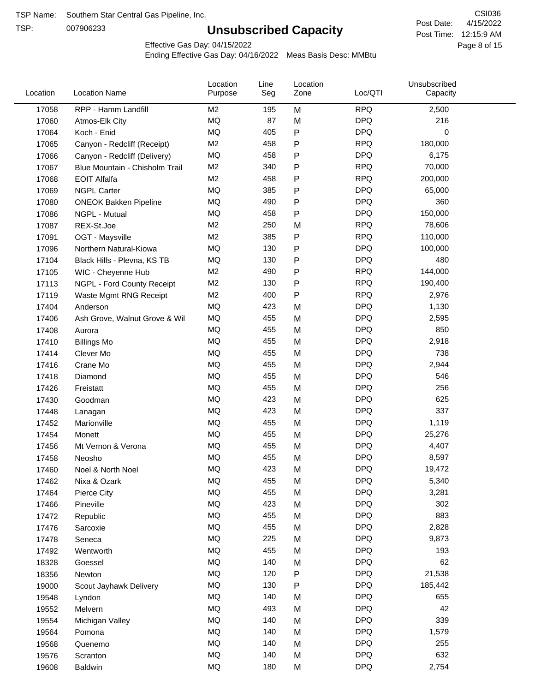TSP:

# **Unsubscribed Capacity**

4/15/2022 Page 8 of 15 Post Time: 12:15:9 AM CSI036 Post Date:

Effective Gas Day: 04/15/2022

| Location | <b>Location Name</b>           | Location<br>Purpose | Line<br>Seg | Location<br>Zone | Loc/QTI    | Unsubscribed<br>Capacity |  |
|----------|--------------------------------|---------------------|-------------|------------------|------------|--------------------------|--|
| 17058    | RPP - Hamm Landfill            | M <sub>2</sub>      | 195         | M                | <b>RPQ</b> | 2,500                    |  |
| 17060    | Atmos-Elk City                 | MQ                  | 87          | M                | <b>DPQ</b> | 216                      |  |
| 17064    | Koch - Enid                    | MQ                  | 405         | ${\sf P}$        | <b>DPQ</b> | 0                        |  |
| 17065    | Canyon - Redcliff (Receipt)    | M <sub>2</sub>      | 458         | ${\sf P}$        | <b>RPQ</b> | 180,000                  |  |
| 17066    | Canyon - Redcliff (Delivery)   | MQ                  | 458         | P                | <b>DPQ</b> | 6,175                    |  |
| 17067    | Blue Mountain - Chisholm Trail | M <sub>2</sub>      | 340         | ${\sf P}$        | <b>RPQ</b> | 70,000                   |  |
| 17068    | <b>EOIT Alfalfa</b>            | M <sub>2</sub>      | 458         | P                | <b>RPQ</b> | 200,000                  |  |
| 17069    | <b>NGPL Carter</b>             | <b>MQ</b>           | 385         | ${\sf P}$        | <b>DPQ</b> | 65,000                   |  |
| 17080    | <b>ONEOK Bakken Pipeline</b>   | MQ                  | 490         | P                | <b>DPQ</b> | 360                      |  |
| 17086    | NGPL - Mutual                  | MQ                  | 458         | ${\sf P}$        | <b>DPQ</b> | 150,000                  |  |
| 17087    | REX-St.Joe                     | M <sub>2</sub>      | 250         | M                | <b>RPQ</b> | 78,606                   |  |
| 17091    | OGT - Maysville                | M <sub>2</sub>      | 385         | ${\sf P}$        | <b>RPQ</b> | 110,000                  |  |
| 17096    | Northern Natural-Kiowa         | <b>MQ</b>           | 130         | ${\sf P}$        | <b>DPQ</b> | 100,000                  |  |
| 17104    | Black Hills - Plevna, KS TB    | <b>MQ</b>           | 130         | P                | <b>DPQ</b> | 480                      |  |
| 17105    | WIC - Cheyenne Hub             | M <sub>2</sub>      | 490         | ${\sf P}$        | <b>RPQ</b> | 144,000                  |  |
| 17113    | NGPL - Ford County Receipt     | M <sub>2</sub>      | 130         | P                | <b>RPQ</b> | 190,400                  |  |
| 17119    | Waste Mgmt RNG Receipt         | M <sub>2</sub>      | 400         | P                | <b>RPQ</b> | 2,976                    |  |
| 17404    | Anderson                       | MQ                  | 423         | M                | <b>DPQ</b> | 1,130                    |  |
| 17406    | Ash Grove, Walnut Grove & Wil  | MQ                  | 455         | M                | <b>DPQ</b> | 2,595                    |  |
| 17408    | Aurora                         | MQ                  | 455         | M                | <b>DPQ</b> | 850                      |  |
| 17410    | <b>Billings Mo</b>             | MQ                  | 455         | M                | <b>DPQ</b> | 2,918                    |  |
| 17414    | Clever Mo                      | <b>MQ</b>           | 455         | M                | <b>DPQ</b> | 738                      |  |
| 17416    | Crane Mo                       | MQ                  | 455         | M                | <b>DPQ</b> | 2,944                    |  |
| 17418    | Diamond                        | <b>MQ</b>           | 455         | M                | <b>DPQ</b> | 546                      |  |
| 17426    | Freistatt                      | <b>MQ</b>           | 455         | M                | <b>DPQ</b> | 256                      |  |
| 17430    | Goodman                        | MQ                  | 423         | M                | <b>DPQ</b> | 625                      |  |
| 17448    | Lanagan                        | MQ                  | 423         | M                | <b>DPQ</b> | 337                      |  |
| 17452    | Marionville                    | MQ                  | 455         | M                | <b>DPQ</b> | 1,119                    |  |
| 17454    | Monett                         | MQ                  | 455         | M                | <b>DPQ</b> | 25,276                   |  |
| 17456    | Mt Vernon & Verona             | MQ                  | 455         | M                | <b>DPQ</b> | 4,407                    |  |
| 17458    | Neosho                         | <b>MQ</b>           | 455         | M                | <b>DPQ</b> | 8,597                    |  |
| 17460    | Noel & North Noel              | MQ                  | 423         | M                | <b>DPQ</b> | 19,472                   |  |
| 17462    | Nixa & Ozark                   | MQ                  | 455         | M                | <b>DPQ</b> | 5,340                    |  |
| 17464    | Pierce City                    | MQ                  | 455         | M                | <b>DPQ</b> | 3,281                    |  |
| 17466    | Pineville                      | MQ                  | 423         | M                | <b>DPQ</b> | 302                      |  |
| 17472    | Republic                       | MQ                  | 455         | M                | <b>DPQ</b> | 883                      |  |
| 17476    | Sarcoxie                       | MQ                  | 455         | M                | <b>DPQ</b> | 2,828                    |  |
| 17478    | Seneca                         | MQ                  | 225         | M                | <b>DPQ</b> | 9,873                    |  |
| 17492    | Wentworth                      | MQ                  | 455         | M                | <b>DPQ</b> | 193                      |  |
| 18328    | Goessel                        | MQ                  | 140         | M                | <b>DPQ</b> | 62                       |  |
| 18356    | Newton                         | MQ                  | 120         | ${\sf P}$        | <b>DPQ</b> | 21,538                   |  |
| 19000    | Scout Jayhawk Delivery         | MQ                  | 130         | P                | <b>DPQ</b> | 185,442                  |  |
| 19548    | Lyndon                         | MQ                  | 140         | M                | <b>DPQ</b> | 655                      |  |
| 19552    | Melvern                        | MQ                  | 493         | M                | <b>DPQ</b> | 42                       |  |
| 19554    | Michigan Valley                | MQ                  | 140         | M                | <b>DPQ</b> | 339                      |  |
| 19564    | Pomona                         | MQ                  | 140         | M                | <b>DPQ</b> | 1,579                    |  |
| 19568    | Quenemo                        | MQ                  | 140         | M                | <b>DPQ</b> | 255                      |  |
| 19576    | Scranton                       | MQ                  | 140         | M                | <b>DPQ</b> | 632                      |  |
| 19608    | Baldwin                        | $\sf{MQ}$           | 180         | M                | <b>DPQ</b> | 2,754                    |  |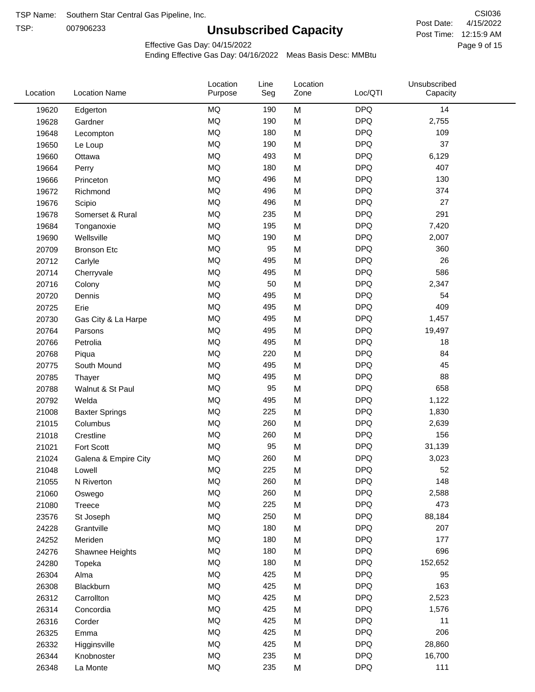TSP:

# **Unsubscribed Capacity**

4/15/2022 Page 9 of 15 Post Time: 12:15:9 AM CSI036 Post Date:

Effective Gas Day: 04/15/2022

| <b>DPQ</b><br><b>MQ</b><br>14<br>190<br>M<br>19620<br>Edgerton<br>MQ<br><b>DPQ</b><br>190<br>2,755<br>M<br>19628<br>Gardner<br><b>MQ</b><br>180<br><b>DPQ</b><br>109<br>M<br>19648<br>Lecompton<br><b>MQ</b><br><b>DPQ</b><br>37<br>190<br>19650<br>M<br>Le Loup<br><b>MQ</b><br><b>DPQ</b><br>493<br>M<br>6,129<br>19660<br>Ottawa<br><b>MQ</b><br><b>DPQ</b><br>407<br>180<br>M<br>19664<br>Perry<br><b>MQ</b><br><b>DPQ</b><br>130<br>496<br>M<br>19666<br>Princeton<br><b>MQ</b><br><b>DPQ</b><br>374<br>496<br>19672<br>M<br>Richmond<br><b>DPQ</b><br><b>MQ</b><br>27<br>19676<br>496<br>M<br>Scipio<br>MQ<br>235<br>M<br><b>DPQ</b><br>291<br>19678<br>Somerset & Rural<br><b>MQ</b><br><b>DPQ</b><br>195<br>M<br>7,420<br>19684<br>Tonganoxie<br><b>MQ</b><br><b>DPQ</b><br>190<br>M<br>2,007<br>19690<br>Wellsville<br><b>MQ</b><br><b>DPQ</b><br>360<br>95<br>20709<br>M<br><b>Bronson Etc</b><br><b>DPQ</b><br><b>MQ</b><br>26<br>495<br>M<br>20712<br>Carlyle<br><b>MQ</b><br><b>DPQ</b><br>586<br>495<br>M<br>20714<br>Cherryvale<br><b>DPQ</b><br><b>MQ</b><br>M<br>50<br>2,347<br>20716<br>Colony<br><b>MQ</b><br><b>DPQ</b><br>495<br>54<br>20720<br>M<br>Dennis<br><b>MQ</b><br><b>DPQ</b><br>409<br>495<br>M<br>20725<br>Erie<br><b>MQ</b><br><b>DPQ</b><br>1,457<br>495<br>M<br>20730<br>Gas City & La Harpe<br><b>MQ</b><br>M<br><b>DPQ</b><br>495<br>19,497<br>20764<br>Parsons<br>MQ<br><b>DPQ</b><br>495<br>18<br>20766<br>Petrolia<br>M<br><b>MQ</b><br><b>DPQ</b><br>84<br>220<br>M<br>20768<br>Piqua<br><b>DPQ</b><br><b>MQ</b><br>495<br>45<br>20775<br>South Mound<br>M<br><b>DPQ</b><br><b>MQ</b><br>88<br>495<br>M<br>20785<br>Thayer<br><b>MQ</b><br>M<br><b>DPQ</b><br>658<br>95<br>20788<br>Walnut & St Paul<br><b>MQ</b><br><b>DPQ</b><br>495<br>M<br>1,122<br>20792<br>Welda<br><b>MQ</b><br><b>DPQ</b><br>225<br>M<br>1,830<br>21008<br><b>Baxter Springs</b><br><b>MQ</b><br><b>DPQ</b><br>260<br>2,639<br>21015<br>M<br>Columbus<br><b>MQ</b><br><b>DPQ</b><br>156<br>260<br>M<br>21018<br>Crestline<br>MQ<br><b>DPQ</b><br>95<br>31,139<br>Fort Scott<br>M<br>21021<br><b>MQ</b><br>260<br><b>DPQ</b><br>M<br>3,023<br>21024<br>Galena & Empire City<br><b>MQ</b><br>225<br><b>DPQ</b><br>52<br>21048<br>M<br>Lowell<br>MQ<br>260<br><b>DPQ</b><br>148<br>M<br>21055<br>N Riverton<br>$\sf{MQ}$<br><b>DPQ</b><br>260<br>2,588<br>M<br>21060<br>Oswego<br><b>MQ</b><br><b>DPQ</b><br>473<br>225<br>M<br>21080<br>Treece<br>MQ<br><b>DPQ</b><br>250<br>88,184<br>23576<br>St Joseph<br>M<br><b>DPQ</b><br>MQ<br>180<br>207<br>24228<br>M<br>Grantville<br><b>DPQ</b><br>MQ<br>177<br>180<br>24252<br>M<br>Meriden<br>$\sf{MQ}$<br><b>DPQ</b><br>696<br>180<br>M<br>24276<br>Shawnee Heights<br>$\sf{MQ}$<br><b>DPQ</b><br>180<br>152,652<br>24280<br>M<br>Topeka<br>MQ<br><b>DPQ</b><br>425<br>95<br>26304<br>Alma<br>M<br>MQ<br><b>DPQ</b><br>163<br>425<br>M<br>26308<br>Blackburn | Location | <b>Location Name</b> | Location<br>Purpose | Line<br>Seg | Location<br>Zone | Loc/QTI    | Unsubscribed<br>Capacity |  |
|---------------------------------------------------------------------------------------------------------------------------------------------------------------------------------------------------------------------------------------------------------------------------------------------------------------------------------------------------------------------------------------------------------------------------------------------------------------------------------------------------------------------------------------------------------------------------------------------------------------------------------------------------------------------------------------------------------------------------------------------------------------------------------------------------------------------------------------------------------------------------------------------------------------------------------------------------------------------------------------------------------------------------------------------------------------------------------------------------------------------------------------------------------------------------------------------------------------------------------------------------------------------------------------------------------------------------------------------------------------------------------------------------------------------------------------------------------------------------------------------------------------------------------------------------------------------------------------------------------------------------------------------------------------------------------------------------------------------------------------------------------------------------------------------------------------------------------------------------------------------------------------------------------------------------------------------------------------------------------------------------------------------------------------------------------------------------------------------------------------------------------------------------------------------------------------------------------------------------------------------------------------------------------------------------------------------------------------------------------------------------------------------------------------------------------------------------------------------------------------------------------------------------------------------------------------------------------------------------------------------------------------------------------------------------------------------------------------------------------------------------------------------------------------------------------------------------------------------------------------------------------------------------------------------------|----------|----------------------|---------------------|-------------|------------------|------------|--------------------------|--|
|                                                                                                                                                                                                                                                                                                                                                                                                                                                                                                                                                                                                                                                                                                                                                                                                                                                                                                                                                                                                                                                                                                                                                                                                                                                                                                                                                                                                                                                                                                                                                                                                                                                                                                                                                                                                                                                                                                                                                                                                                                                                                                                                                                                                                                                                                                                                                                                                                                                                                                                                                                                                                                                                                                                                                                                                                                                                                                                           |          |                      |                     |             |                  |            |                          |  |
|                                                                                                                                                                                                                                                                                                                                                                                                                                                                                                                                                                                                                                                                                                                                                                                                                                                                                                                                                                                                                                                                                                                                                                                                                                                                                                                                                                                                                                                                                                                                                                                                                                                                                                                                                                                                                                                                                                                                                                                                                                                                                                                                                                                                                                                                                                                                                                                                                                                                                                                                                                                                                                                                                                                                                                                                                                                                                                                           |          |                      |                     |             |                  |            |                          |  |
|                                                                                                                                                                                                                                                                                                                                                                                                                                                                                                                                                                                                                                                                                                                                                                                                                                                                                                                                                                                                                                                                                                                                                                                                                                                                                                                                                                                                                                                                                                                                                                                                                                                                                                                                                                                                                                                                                                                                                                                                                                                                                                                                                                                                                                                                                                                                                                                                                                                                                                                                                                                                                                                                                                                                                                                                                                                                                                                           |          |                      |                     |             |                  |            |                          |  |
|                                                                                                                                                                                                                                                                                                                                                                                                                                                                                                                                                                                                                                                                                                                                                                                                                                                                                                                                                                                                                                                                                                                                                                                                                                                                                                                                                                                                                                                                                                                                                                                                                                                                                                                                                                                                                                                                                                                                                                                                                                                                                                                                                                                                                                                                                                                                                                                                                                                                                                                                                                                                                                                                                                                                                                                                                                                                                                                           |          |                      |                     |             |                  |            |                          |  |
|                                                                                                                                                                                                                                                                                                                                                                                                                                                                                                                                                                                                                                                                                                                                                                                                                                                                                                                                                                                                                                                                                                                                                                                                                                                                                                                                                                                                                                                                                                                                                                                                                                                                                                                                                                                                                                                                                                                                                                                                                                                                                                                                                                                                                                                                                                                                                                                                                                                                                                                                                                                                                                                                                                                                                                                                                                                                                                                           |          |                      |                     |             |                  |            |                          |  |
|                                                                                                                                                                                                                                                                                                                                                                                                                                                                                                                                                                                                                                                                                                                                                                                                                                                                                                                                                                                                                                                                                                                                                                                                                                                                                                                                                                                                                                                                                                                                                                                                                                                                                                                                                                                                                                                                                                                                                                                                                                                                                                                                                                                                                                                                                                                                                                                                                                                                                                                                                                                                                                                                                                                                                                                                                                                                                                                           |          |                      |                     |             |                  |            |                          |  |
|                                                                                                                                                                                                                                                                                                                                                                                                                                                                                                                                                                                                                                                                                                                                                                                                                                                                                                                                                                                                                                                                                                                                                                                                                                                                                                                                                                                                                                                                                                                                                                                                                                                                                                                                                                                                                                                                                                                                                                                                                                                                                                                                                                                                                                                                                                                                                                                                                                                                                                                                                                                                                                                                                                                                                                                                                                                                                                                           |          |                      |                     |             |                  |            |                          |  |
|                                                                                                                                                                                                                                                                                                                                                                                                                                                                                                                                                                                                                                                                                                                                                                                                                                                                                                                                                                                                                                                                                                                                                                                                                                                                                                                                                                                                                                                                                                                                                                                                                                                                                                                                                                                                                                                                                                                                                                                                                                                                                                                                                                                                                                                                                                                                                                                                                                                                                                                                                                                                                                                                                                                                                                                                                                                                                                                           |          |                      |                     |             |                  |            |                          |  |
|                                                                                                                                                                                                                                                                                                                                                                                                                                                                                                                                                                                                                                                                                                                                                                                                                                                                                                                                                                                                                                                                                                                                                                                                                                                                                                                                                                                                                                                                                                                                                                                                                                                                                                                                                                                                                                                                                                                                                                                                                                                                                                                                                                                                                                                                                                                                                                                                                                                                                                                                                                                                                                                                                                                                                                                                                                                                                                                           |          |                      |                     |             |                  |            |                          |  |
|                                                                                                                                                                                                                                                                                                                                                                                                                                                                                                                                                                                                                                                                                                                                                                                                                                                                                                                                                                                                                                                                                                                                                                                                                                                                                                                                                                                                                                                                                                                                                                                                                                                                                                                                                                                                                                                                                                                                                                                                                                                                                                                                                                                                                                                                                                                                                                                                                                                                                                                                                                                                                                                                                                                                                                                                                                                                                                                           |          |                      |                     |             |                  |            |                          |  |
|                                                                                                                                                                                                                                                                                                                                                                                                                                                                                                                                                                                                                                                                                                                                                                                                                                                                                                                                                                                                                                                                                                                                                                                                                                                                                                                                                                                                                                                                                                                                                                                                                                                                                                                                                                                                                                                                                                                                                                                                                                                                                                                                                                                                                                                                                                                                                                                                                                                                                                                                                                                                                                                                                                                                                                                                                                                                                                                           |          |                      |                     |             |                  |            |                          |  |
|                                                                                                                                                                                                                                                                                                                                                                                                                                                                                                                                                                                                                                                                                                                                                                                                                                                                                                                                                                                                                                                                                                                                                                                                                                                                                                                                                                                                                                                                                                                                                                                                                                                                                                                                                                                                                                                                                                                                                                                                                                                                                                                                                                                                                                                                                                                                                                                                                                                                                                                                                                                                                                                                                                                                                                                                                                                                                                                           |          |                      |                     |             |                  |            |                          |  |
|                                                                                                                                                                                                                                                                                                                                                                                                                                                                                                                                                                                                                                                                                                                                                                                                                                                                                                                                                                                                                                                                                                                                                                                                                                                                                                                                                                                                                                                                                                                                                                                                                                                                                                                                                                                                                                                                                                                                                                                                                                                                                                                                                                                                                                                                                                                                                                                                                                                                                                                                                                                                                                                                                                                                                                                                                                                                                                                           |          |                      |                     |             |                  |            |                          |  |
|                                                                                                                                                                                                                                                                                                                                                                                                                                                                                                                                                                                                                                                                                                                                                                                                                                                                                                                                                                                                                                                                                                                                                                                                                                                                                                                                                                                                                                                                                                                                                                                                                                                                                                                                                                                                                                                                                                                                                                                                                                                                                                                                                                                                                                                                                                                                                                                                                                                                                                                                                                                                                                                                                                                                                                                                                                                                                                                           |          |                      |                     |             |                  |            |                          |  |
|                                                                                                                                                                                                                                                                                                                                                                                                                                                                                                                                                                                                                                                                                                                                                                                                                                                                                                                                                                                                                                                                                                                                                                                                                                                                                                                                                                                                                                                                                                                                                                                                                                                                                                                                                                                                                                                                                                                                                                                                                                                                                                                                                                                                                                                                                                                                                                                                                                                                                                                                                                                                                                                                                                                                                                                                                                                                                                                           |          |                      |                     |             |                  |            |                          |  |
|                                                                                                                                                                                                                                                                                                                                                                                                                                                                                                                                                                                                                                                                                                                                                                                                                                                                                                                                                                                                                                                                                                                                                                                                                                                                                                                                                                                                                                                                                                                                                                                                                                                                                                                                                                                                                                                                                                                                                                                                                                                                                                                                                                                                                                                                                                                                                                                                                                                                                                                                                                                                                                                                                                                                                                                                                                                                                                                           |          |                      |                     |             |                  |            |                          |  |
|                                                                                                                                                                                                                                                                                                                                                                                                                                                                                                                                                                                                                                                                                                                                                                                                                                                                                                                                                                                                                                                                                                                                                                                                                                                                                                                                                                                                                                                                                                                                                                                                                                                                                                                                                                                                                                                                                                                                                                                                                                                                                                                                                                                                                                                                                                                                                                                                                                                                                                                                                                                                                                                                                                                                                                                                                                                                                                                           |          |                      |                     |             |                  |            |                          |  |
|                                                                                                                                                                                                                                                                                                                                                                                                                                                                                                                                                                                                                                                                                                                                                                                                                                                                                                                                                                                                                                                                                                                                                                                                                                                                                                                                                                                                                                                                                                                                                                                                                                                                                                                                                                                                                                                                                                                                                                                                                                                                                                                                                                                                                                                                                                                                                                                                                                                                                                                                                                                                                                                                                                                                                                                                                                                                                                                           |          |                      |                     |             |                  |            |                          |  |
|                                                                                                                                                                                                                                                                                                                                                                                                                                                                                                                                                                                                                                                                                                                                                                                                                                                                                                                                                                                                                                                                                                                                                                                                                                                                                                                                                                                                                                                                                                                                                                                                                                                                                                                                                                                                                                                                                                                                                                                                                                                                                                                                                                                                                                                                                                                                                                                                                                                                                                                                                                                                                                                                                                                                                                                                                                                                                                                           |          |                      |                     |             |                  |            |                          |  |
|                                                                                                                                                                                                                                                                                                                                                                                                                                                                                                                                                                                                                                                                                                                                                                                                                                                                                                                                                                                                                                                                                                                                                                                                                                                                                                                                                                                                                                                                                                                                                                                                                                                                                                                                                                                                                                                                                                                                                                                                                                                                                                                                                                                                                                                                                                                                                                                                                                                                                                                                                                                                                                                                                                                                                                                                                                                                                                                           |          |                      |                     |             |                  |            |                          |  |
|                                                                                                                                                                                                                                                                                                                                                                                                                                                                                                                                                                                                                                                                                                                                                                                                                                                                                                                                                                                                                                                                                                                                                                                                                                                                                                                                                                                                                                                                                                                                                                                                                                                                                                                                                                                                                                                                                                                                                                                                                                                                                                                                                                                                                                                                                                                                                                                                                                                                                                                                                                                                                                                                                                                                                                                                                                                                                                                           |          |                      |                     |             |                  |            |                          |  |
|                                                                                                                                                                                                                                                                                                                                                                                                                                                                                                                                                                                                                                                                                                                                                                                                                                                                                                                                                                                                                                                                                                                                                                                                                                                                                                                                                                                                                                                                                                                                                                                                                                                                                                                                                                                                                                                                                                                                                                                                                                                                                                                                                                                                                                                                                                                                                                                                                                                                                                                                                                                                                                                                                                                                                                                                                                                                                                                           |          |                      |                     |             |                  |            |                          |  |
|                                                                                                                                                                                                                                                                                                                                                                                                                                                                                                                                                                                                                                                                                                                                                                                                                                                                                                                                                                                                                                                                                                                                                                                                                                                                                                                                                                                                                                                                                                                                                                                                                                                                                                                                                                                                                                                                                                                                                                                                                                                                                                                                                                                                                                                                                                                                                                                                                                                                                                                                                                                                                                                                                                                                                                                                                                                                                                                           |          |                      |                     |             |                  |            |                          |  |
|                                                                                                                                                                                                                                                                                                                                                                                                                                                                                                                                                                                                                                                                                                                                                                                                                                                                                                                                                                                                                                                                                                                                                                                                                                                                                                                                                                                                                                                                                                                                                                                                                                                                                                                                                                                                                                                                                                                                                                                                                                                                                                                                                                                                                                                                                                                                                                                                                                                                                                                                                                                                                                                                                                                                                                                                                                                                                                                           |          |                      |                     |             |                  |            |                          |  |
|                                                                                                                                                                                                                                                                                                                                                                                                                                                                                                                                                                                                                                                                                                                                                                                                                                                                                                                                                                                                                                                                                                                                                                                                                                                                                                                                                                                                                                                                                                                                                                                                                                                                                                                                                                                                                                                                                                                                                                                                                                                                                                                                                                                                                                                                                                                                                                                                                                                                                                                                                                                                                                                                                                                                                                                                                                                                                                                           |          |                      |                     |             |                  |            |                          |  |
|                                                                                                                                                                                                                                                                                                                                                                                                                                                                                                                                                                                                                                                                                                                                                                                                                                                                                                                                                                                                                                                                                                                                                                                                                                                                                                                                                                                                                                                                                                                                                                                                                                                                                                                                                                                                                                                                                                                                                                                                                                                                                                                                                                                                                                                                                                                                                                                                                                                                                                                                                                                                                                                                                                                                                                                                                                                                                                                           |          |                      |                     |             |                  |            |                          |  |
|                                                                                                                                                                                                                                                                                                                                                                                                                                                                                                                                                                                                                                                                                                                                                                                                                                                                                                                                                                                                                                                                                                                                                                                                                                                                                                                                                                                                                                                                                                                                                                                                                                                                                                                                                                                                                                                                                                                                                                                                                                                                                                                                                                                                                                                                                                                                                                                                                                                                                                                                                                                                                                                                                                                                                                                                                                                                                                                           |          |                      |                     |             |                  |            |                          |  |
|                                                                                                                                                                                                                                                                                                                                                                                                                                                                                                                                                                                                                                                                                                                                                                                                                                                                                                                                                                                                                                                                                                                                                                                                                                                                                                                                                                                                                                                                                                                                                                                                                                                                                                                                                                                                                                                                                                                                                                                                                                                                                                                                                                                                                                                                                                                                                                                                                                                                                                                                                                                                                                                                                                                                                                                                                                                                                                                           |          |                      |                     |             |                  |            |                          |  |
|                                                                                                                                                                                                                                                                                                                                                                                                                                                                                                                                                                                                                                                                                                                                                                                                                                                                                                                                                                                                                                                                                                                                                                                                                                                                                                                                                                                                                                                                                                                                                                                                                                                                                                                                                                                                                                                                                                                                                                                                                                                                                                                                                                                                                                                                                                                                                                                                                                                                                                                                                                                                                                                                                                                                                                                                                                                                                                                           |          |                      |                     |             |                  |            |                          |  |
|                                                                                                                                                                                                                                                                                                                                                                                                                                                                                                                                                                                                                                                                                                                                                                                                                                                                                                                                                                                                                                                                                                                                                                                                                                                                                                                                                                                                                                                                                                                                                                                                                                                                                                                                                                                                                                                                                                                                                                                                                                                                                                                                                                                                                                                                                                                                                                                                                                                                                                                                                                                                                                                                                                                                                                                                                                                                                                                           |          |                      |                     |             |                  |            |                          |  |
|                                                                                                                                                                                                                                                                                                                                                                                                                                                                                                                                                                                                                                                                                                                                                                                                                                                                                                                                                                                                                                                                                                                                                                                                                                                                                                                                                                                                                                                                                                                                                                                                                                                                                                                                                                                                                                                                                                                                                                                                                                                                                                                                                                                                                                                                                                                                                                                                                                                                                                                                                                                                                                                                                                                                                                                                                                                                                                                           |          |                      |                     |             |                  |            |                          |  |
|                                                                                                                                                                                                                                                                                                                                                                                                                                                                                                                                                                                                                                                                                                                                                                                                                                                                                                                                                                                                                                                                                                                                                                                                                                                                                                                                                                                                                                                                                                                                                                                                                                                                                                                                                                                                                                                                                                                                                                                                                                                                                                                                                                                                                                                                                                                                                                                                                                                                                                                                                                                                                                                                                                                                                                                                                                                                                                                           |          |                      |                     |             |                  |            |                          |  |
|                                                                                                                                                                                                                                                                                                                                                                                                                                                                                                                                                                                                                                                                                                                                                                                                                                                                                                                                                                                                                                                                                                                                                                                                                                                                                                                                                                                                                                                                                                                                                                                                                                                                                                                                                                                                                                                                                                                                                                                                                                                                                                                                                                                                                                                                                                                                                                                                                                                                                                                                                                                                                                                                                                                                                                                                                                                                                                                           |          |                      |                     |             |                  |            |                          |  |
|                                                                                                                                                                                                                                                                                                                                                                                                                                                                                                                                                                                                                                                                                                                                                                                                                                                                                                                                                                                                                                                                                                                                                                                                                                                                                                                                                                                                                                                                                                                                                                                                                                                                                                                                                                                                                                                                                                                                                                                                                                                                                                                                                                                                                                                                                                                                                                                                                                                                                                                                                                                                                                                                                                                                                                                                                                                                                                                           |          |                      |                     |             |                  |            |                          |  |
|                                                                                                                                                                                                                                                                                                                                                                                                                                                                                                                                                                                                                                                                                                                                                                                                                                                                                                                                                                                                                                                                                                                                                                                                                                                                                                                                                                                                                                                                                                                                                                                                                                                                                                                                                                                                                                                                                                                                                                                                                                                                                                                                                                                                                                                                                                                                                                                                                                                                                                                                                                                                                                                                                                                                                                                                                                                                                                                           |          |                      |                     |             |                  |            |                          |  |
|                                                                                                                                                                                                                                                                                                                                                                                                                                                                                                                                                                                                                                                                                                                                                                                                                                                                                                                                                                                                                                                                                                                                                                                                                                                                                                                                                                                                                                                                                                                                                                                                                                                                                                                                                                                                                                                                                                                                                                                                                                                                                                                                                                                                                                                                                                                                                                                                                                                                                                                                                                                                                                                                                                                                                                                                                                                                                                                           |          |                      |                     |             |                  |            |                          |  |
|                                                                                                                                                                                                                                                                                                                                                                                                                                                                                                                                                                                                                                                                                                                                                                                                                                                                                                                                                                                                                                                                                                                                                                                                                                                                                                                                                                                                                                                                                                                                                                                                                                                                                                                                                                                                                                                                                                                                                                                                                                                                                                                                                                                                                                                                                                                                                                                                                                                                                                                                                                                                                                                                                                                                                                                                                                                                                                                           |          |                      |                     |             |                  |            |                          |  |
|                                                                                                                                                                                                                                                                                                                                                                                                                                                                                                                                                                                                                                                                                                                                                                                                                                                                                                                                                                                                                                                                                                                                                                                                                                                                                                                                                                                                                                                                                                                                                                                                                                                                                                                                                                                                                                                                                                                                                                                                                                                                                                                                                                                                                                                                                                                                                                                                                                                                                                                                                                                                                                                                                                                                                                                                                                                                                                                           |          |                      |                     |             |                  |            |                          |  |
|                                                                                                                                                                                                                                                                                                                                                                                                                                                                                                                                                                                                                                                                                                                                                                                                                                                                                                                                                                                                                                                                                                                                                                                                                                                                                                                                                                                                                                                                                                                                                                                                                                                                                                                                                                                                                                                                                                                                                                                                                                                                                                                                                                                                                                                                                                                                                                                                                                                                                                                                                                                                                                                                                                                                                                                                                                                                                                                           |          |                      |                     |             |                  |            |                          |  |
|                                                                                                                                                                                                                                                                                                                                                                                                                                                                                                                                                                                                                                                                                                                                                                                                                                                                                                                                                                                                                                                                                                                                                                                                                                                                                                                                                                                                                                                                                                                                                                                                                                                                                                                                                                                                                                                                                                                                                                                                                                                                                                                                                                                                                                                                                                                                                                                                                                                                                                                                                                                                                                                                                                                                                                                                                                                                                                                           |          |                      |                     |             |                  |            |                          |  |
|                                                                                                                                                                                                                                                                                                                                                                                                                                                                                                                                                                                                                                                                                                                                                                                                                                                                                                                                                                                                                                                                                                                                                                                                                                                                                                                                                                                                                                                                                                                                                                                                                                                                                                                                                                                                                                                                                                                                                                                                                                                                                                                                                                                                                                                                                                                                                                                                                                                                                                                                                                                                                                                                                                                                                                                                                                                                                                                           |          |                      |                     |             |                  |            |                          |  |
|                                                                                                                                                                                                                                                                                                                                                                                                                                                                                                                                                                                                                                                                                                                                                                                                                                                                                                                                                                                                                                                                                                                                                                                                                                                                                                                                                                                                                                                                                                                                                                                                                                                                                                                                                                                                                                                                                                                                                                                                                                                                                                                                                                                                                                                                                                                                                                                                                                                                                                                                                                                                                                                                                                                                                                                                                                                                                                                           |          |                      |                     |             |                  |            |                          |  |
|                                                                                                                                                                                                                                                                                                                                                                                                                                                                                                                                                                                                                                                                                                                                                                                                                                                                                                                                                                                                                                                                                                                                                                                                                                                                                                                                                                                                                                                                                                                                                                                                                                                                                                                                                                                                                                                                                                                                                                                                                                                                                                                                                                                                                                                                                                                                                                                                                                                                                                                                                                                                                                                                                                                                                                                                                                                                                                                           | 26312    | Carrollton           | MQ                  | 425         | M                | <b>DPQ</b> | 2,523                    |  |
| <b>MQ</b><br><b>DPQ</b><br>425<br>M<br>1,576<br>26314<br>Concordia                                                                                                                                                                                                                                                                                                                                                                                                                                                                                                                                                                                                                                                                                                                                                                                                                                                                                                                                                                                                                                                                                                                                                                                                                                                                                                                                                                                                                                                                                                                                                                                                                                                                                                                                                                                                                                                                                                                                                                                                                                                                                                                                                                                                                                                                                                                                                                                                                                                                                                                                                                                                                                                                                                                                                                                                                                                        |          |                      |                     |             |                  |            |                          |  |
| MQ<br><b>DPQ</b><br>425<br>11<br>26316<br>Corder<br>M                                                                                                                                                                                                                                                                                                                                                                                                                                                                                                                                                                                                                                                                                                                                                                                                                                                                                                                                                                                                                                                                                                                                                                                                                                                                                                                                                                                                                                                                                                                                                                                                                                                                                                                                                                                                                                                                                                                                                                                                                                                                                                                                                                                                                                                                                                                                                                                                                                                                                                                                                                                                                                                                                                                                                                                                                                                                     |          |                      |                     |             |                  |            |                          |  |
| MQ<br><b>DPQ</b><br>206<br>425<br>26325<br>M<br>Emma                                                                                                                                                                                                                                                                                                                                                                                                                                                                                                                                                                                                                                                                                                                                                                                                                                                                                                                                                                                                                                                                                                                                                                                                                                                                                                                                                                                                                                                                                                                                                                                                                                                                                                                                                                                                                                                                                                                                                                                                                                                                                                                                                                                                                                                                                                                                                                                                                                                                                                                                                                                                                                                                                                                                                                                                                                                                      |          |                      |                     |             |                  |            |                          |  |
| MQ<br><b>DPQ</b><br>425<br>28,860<br>26332<br>M<br>Higginsville                                                                                                                                                                                                                                                                                                                                                                                                                                                                                                                                                                                                                                                                                                                                                                                                                                                                                                                                                                                                                                                                                                                                                                                                                                                                                                                                                                                                                                                                                                                                                                                                                                                                                                                                                                                                                                                                                                                                                                                                                                                                                                                                                                                                                                                                                                                                                                                                                                                                                                                                                                                                                                                                                                                                                                                                                                                           |          |                      |                     |             |                  |            |                          |  |
| $\sf{MQ}$<br><b>DPQ</b><br>235<br>M<br>16,700<br>26344<br>Knobnoster                                                                                                                                                                                                                                                                                                                                                                                                                                                                                                                                                                                                                                                                                                                                                                                                                                                                                                                                                                                                                                                                                                                                                                                                                                                                                                                                                                                                                                                                                                                                                                                                                                                                                                                                                                                                                                                                                                                                                                                                                                                                                                                                                                                                                                                                                                                                                                                                                                                                                                                                                                                                                                                                                                                                                                                                                                                      |          |                      |                     |             |                  |            |                          |  |
| $\sf{MQ}$<br><b>DPQ</b><br>111<br>235<br>26348<br>M<br>La Monte                                                                                                                                                                                                                                                                                                                                                                                                                                                                                                                                                                                                                                                                                                                                                                                                                                                                                                                                                                                                                                                                                                                                                                                                                                                                                                                                                                                                                                                                                                                                                                                                                                                                                                                                                                                                                                                                                                                                                                                                                                                                                                                                                                                                                                                                                                                                                                                                                                                                                                                                                                                                                                                                                                                                                                                                                                                           |          |                      |                     |             |                  |            |                          |  |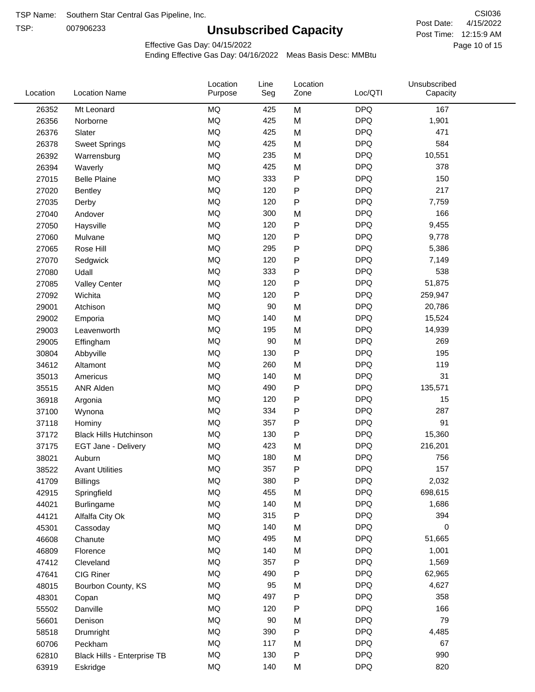TSP:

# **Unsubscribed Capacity**

4/15/2022 Page 10 of 15 Post Time: 12:15:9 AM CSI036 Post Date:

Unsubscribed

Effective Gas Day: 04/15/2022

Location

Ending Effective Gas Day: 04/16/2022 Meas Basis Desc: MMBtu

Line

Location

| Location | <b>Location Name</b>          | Purpose   | Seg    | Zone         | Loc/QTI    | Capacity |  |
|----------|-------------------------------|-----------|--------|--------------|------------|----------|--|
| 26352    | Mt Leonard                    | <b>MQ</b> | 425    | M            | <b>DPQ</b> | 167      |  |
| 26356    | Norborne                      | <b>MQ</b> | 425    | M            | <b>DPQ</b> | 1,901    |  |
| 26376    | Slater                        | <b>MQ</b> | 425    | M            | <b>DPQ</b> | 471      |  |
| 26378    | <b>Sweet Springs</b>          | <b>MQ</b> | 425    | M            | <b>DPQ</b> | 584      |  |
| 26392    | Warrensburg                   | <b>MQ</b> | 235    | M            | <b>DPQ</b> | 10,551   |  |
| 26394    | Waverly                       | MQ        | 425    | M            | <b>DPQ</b> | 378      |  |
| 27015    | <b>Belle Plaine</b>           | <b>MQ</b> | 333    | ${\sf P}$    | <b>DPQ</b> | 150      |  |
| 27020    | Bentley                       | <b>MQ</b> | 120    | P            | <b>DPQ</b> | 217      |  |
| 27035    | Derby                         | <b>MQ</b> | 120    | P            | <b>DPQ</b> | 7,759    |  |
| 27040    | Andover                       | <b>MQ</b> | 300    | M            | <b>DPQ</b> | 166      |  |
| 27050    | Haysville                     | <b>MQ</b> | 120    | $\mathsf{P}$ | <b>DPQ</b> | 9,455    |  |
| 27060    | Mulvane                       | <b>MQ</b> | 120    | $\mathsf{P}$ | <b>DPQ</b> | 9,778    |  |
| 27065    | Rose Hill                     | <b>MQ</b> | 295    | P            | <b>DPQ</b> | 5,386    |  |
| 27070    | Sedgwick                      | <b>MQ</b> | 120    | P            | <b>DPQ</b> | 7,149    |  |
| 27080    | Udall                         | <b>MQ</b> | 333    | P            | <b>DPQ</b> | 538      |  |
| 27085    | <b>Valley Center</b>          | <b>MQ</b> | 120    | P            | <b>DPQ</b> | 51,875   |  |
| 27092    | Wichita                       | <b>MQ</b> | 120    | P            | <b>DPQ</b> | 259,947  |  |
| 29001    | Atchison                      | <b>MQ</b> | 90     | M            | <b>DPQ</b> | 20,786   |  |
| 29002    | Emporia                       | <b>MQ</b> | 140    | M            | <b>DPQ</b> | 15,524   |  |
| 29003    | Leavenworth                   | <b>MQ</b> | 195    | M            | <b>DPQ</b> | 14,939   |  |
| 29005    | Effingham                     | <b>MQ</b> | 90     | M            | <b>DPQ</b> | 269      |  |
| 30804    | Abbyville                     | <b>MQ</b> | 130    | P            | <b>DPQ</b> | 195      |  |
| 34612    | Altamont                      | <b>MQ</b> | 260    | M            | <b>DPQ</b> | 119      |  |
| 35013    | Americus                      | <b>MQ</b> | 140    | M            | <b>DPQ</b> | 31       |  |
| 35515    | ANR Alden                     | <b>MQ</b> | 490    | P            | <b>DPQ</b> | 135,571  |  |
| 36918    | Argonia                       | <b>MQ</b> | 120    | P            | <b>DPQ</b> | 15       |  |
| 37100    | Wynona                        | <b>MQ</b> | 334    | $\mathsf{P}$ | <b>DPQ</b> | 287      |  |
| 37118    | Hominy                        | MQ        | 357    | ${\sf P}$    | <b>DPQ</b> | 91       |  |
| 37172    | <b>Black Hills Hutchinson</b> | MQ        | 130    | P            | <b>DPQ</b> | 15,360   |  |
| 37175    | EGT Jane - Delivery           | <b>MQ</b> | 423    | M            | <b>DPQ</b> | 216,201  |  |
| 38021    | Auburn                        | <b>MQ</b> | 180    | M            | <b>DPQ</b> | 756      |  |
| 38522    | <b>Avant Utilities</b>        | MQ        | 357    | P            | <b>DPQ</b> | 157      |  |
| 41709    | <b>Billings</b>               | MQ        | 380    | P            | <b>DPQ</b> | 2,032    |  |
| 42915    | Springfield                   | MQ        | 455    | M            | <b>DPQ</b> | 698,615  |  |
| 44021    | Burlingame                    | MQ        | 140    | M            | <b>DPQ</b> | 1,686    |  |
| 44121    | Alfalfa City Ok               | MQ        | 315    | ${\sf P}$    | <b>DPQ</b> | 394      |  |
| 45301    | Cassoday                      | MQ        | 140    | M            | <b>DPQ</b> | 0        |  |
| 46608    | Chanute                       | <b>MQ</b> | 495    | M            | <b>DPQ</b> | 51,665   |  |
| 46809    | Florence                      | MQ        | 140    | M            | <b>DPQ</b> | 1,001    |  |
| 47412    | Cleveland                     | MQ        | 357    | P            | <b>DPQ</b> | 1,569    |  |
| 47641    | CIG Riner                     | MQ        | 490    | P            | <b>DPQ</b> | 62,965   |  |
| 48015    | Bourbon County, KS            | MQ        | 95     | M            | <b>DPQ</b> | 4,627    |  |
| 48301    | Copan                         | MQ        | 497    | ${\sf P}$    | <b>DPQ</b> | 358      |  |
| 55502    | Danville                      | <b>MQ</b> | 120    | P            | <b>DPQ</b> | 166      |  |
| 56601    | Denison                       | <b>MQ</b> | $90\,$ | M            | <b>DPQ</b> | 79       |  |
| 58518    | Drumright                     | MQ        | 390    | P            | <b>DPQ</b> | 4,485    |  |
| 60706    | Peckham                       | MQ        | 117    | M            | <b>DPQ</b> | 67       |  |
| 62810    | Black Hills - Enterprise TB   | MQ        | 130    | P            | <b>DPQ</b> | 990      |  |
| 63919    | Eskridge                      | MQ        | 140    | M            | <b>DPQ</b> | 820      |  |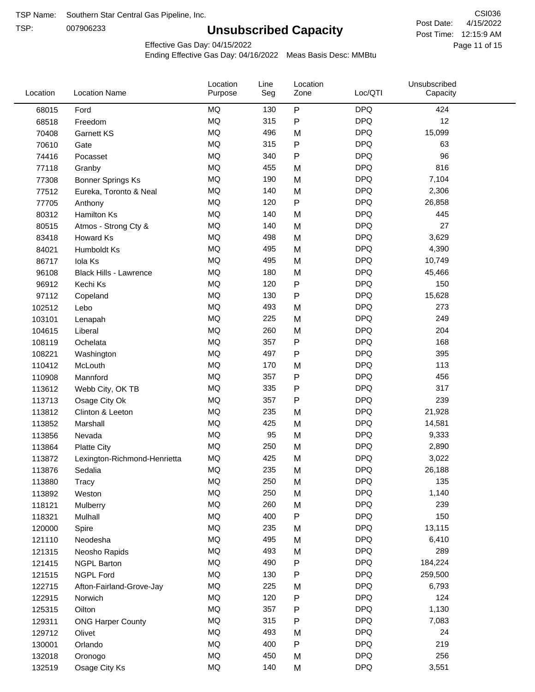TSP:

# **Unsubscribed Capacity**

4/15/2022 Page 11 of 15 Post Time: 12:15:9 AM CSI036 Post Date:

Unsubscribed

Effective Gas Day: 04/15/2022

Location

Ending Effective Gas Day: 04/16/2022 Meas Basis Desc: MMBtu

Line

Location

| Location | <b>Location Name</b>          | Purpose   | Seg | Zone         | Loc/QTI    | Capacity |  |
|----------|-------------------------------|-----------|-----|--------------|------------|----------|--|
| 68015    | Ford                          | MQ        | 130 | ${\sf P}$    | <b>DPQ</b> | 424      |  |
| 68518    | Freedom                       | MQ        | 315 | P            | <b>DPQ</b> | 12       |  |
| 70408    | Garnett KS                    | MQ        | 496 | M            | <b>DPQ</b> | 15,099   |  |
| 70610    | Gate                          | MQ        | 315 | P            | <b>DPQ</b> | 63       |  |
| 74416    | Pocasset                      | <b>MQ</b> | 340 | P            | <b>DPQ</b> | 96       |  |
| 77118    | Granby                        | MQ        | 455 | M            | <b>DPQ</b> | 816      |  |
| 77308    | <b>Bonner Springs Ks</b>      | MQ        | 190 | M            | <b>DPQ</b> | 7,104    |  |
| 77512    | Eureka, Toronto & Neal        | MQ        | 140 | M            | <b>DPQ</b> | 2,306    |  |
| 77705    | Anthony                       | MQ        | 120 | ${\sf P}$    | <b>DPQ</b> | 26,858   |  |
| 80312    | Hamilton Ks                   | MQ        | 140 | M            | <b>DPQ</b> | 445      |  |
| 80515    | Atmos - Strong Cty &          | $\sf{MQ}$ | 140 | M            | <b>DPQ</b> | 27       |  |
| 83418    | Howard Ks                     | MQ        | 498 | M            | <b>DPQ</b> | 3,629    |  |
| 84021    | Humboldt Ks                   | MQ        | 495 | M            | <b>DPQ</b> | 4,390    |  |
| 86717    | Iola Ks                       | MQ        | 495 | M            | <b>DPQ</b> | 10,749   |  |
| 96108    | <b>Black Hills - Lawrence</b> | MQ        | 180 | M            | <b>DPQ</b> | 45,466   |  |
| 96912    | Kechi Ks                      | MQ        | 120 | $\mathsf{P}$ | <b>DPQ</b> | 150      |  |
| 97112    | Copeland                      | MQ        | 130 | $\mathsf{P}$ | <b>DPQ</b> | 15,628   |  |
| 102512   | Lebo                          | MQ        | 493 | M            | <b>DPQ</b> | 273      |  |
| 103101   | Lenapah                       | MQ        | 225 | M            | <b>DPQ</b> | 249      |  |
| 104615   | Liberal                       | MQ        | 260 | M            | <b>DPQ</b> | 204      |  |
| 108119   | Ochelata                      | MQ        | 357 | P            | <b>DPQ</b> | 168      |  |
| 108221   | Washington                    | MQ        | 497 | P            | <b>DPQ</b> | 395      |  |
| 110412   | McLouth                       | MQ        | 170 | M            | <b>DPQ</b> | 113      |  |
| 110908   | Mannford                      | MQ        | 357 | P            | <b>DPQ</b> | 456      |  |
| 113612   | Webb City, OK TB              | MQ        | 335 | P            | <b>DPQ</b> | 317      |  |
| 113713   | Osage City Ok                 | MQ        | 357 | P            | <b>DPQ</b> | 239      |  |
| 113812   | Clinton & Leeton              | MQ        | 235 | M            | <b>DPQ</b> | 21,928   |  |
| 113852   | Marshall                      | MQ        | 425 | M            | <b>DPQ</b> | 14,581   |  |
| 113856   | Nevada                        | MQ        | 95  | M            | <b>DPQ</b> | 9,333    |  |
| 113864   | <b>Platte City</b>            | MQ        | 250 | M            | <b>DPQ</b> | 2,890    |  |
| 113872   | Lexington-Richmond-Henrietta  | MQ        | 425 | M            | <b>DPQ</b> | 3,022    |  |
| 113876   | Sedalia                       | MQ        | 235 | M            | <b>DPQ</b> | 26,188   |  |
| 113880   | Tracy                         | $\sf{MQ}$ | 250 | M            | <b>DPQ</b> | 135      |  |
| 113892   | Weston                        | MQ        | 250 | M            | <b>DPQ</b> | 1,140    |  |
| 118121   | Mulberry                      | $\sf{MQ}$ | 260 | M            | <b>DPQ</b> | 239      |  |
| 118321   | Mulhall                       | MQ        | 400 | P            | <b>DPQ</b> | 150      |  |
| 120000   | Spire                         | MQ        | 235 | M            | <b>DPQ</b> | 13,115   |  |
| 121110   | Neodesha                      | MQ        | 495 | M            | <b>DPQ</b> | 6,410    |  |
| 121315   | Neosho Rapids                 | $\sf{MQ}$ | 493 | M            | <b>DPQ</b> | 289      |  |
| 121415   | <b>NGPL Barton</b>            | MQ        | 490 | Ρ            | <b>DPQ</b> | 184,224  |  |
| 121515   | NGPL Ford                     | MQ        | 130 | P            | <b>DPQ</b> | 259,500  |  |
| 122715   | Afton-Fairland-Grove-Jay      | MQ        | 225 | M            | <b>DPQ</b> | 6,793    |  |
| 122915   | Norwich                       | MQ        | 120 | P            | <b>DPQ</b> | 124      |  |
| 125315   | Oilton                        | MQ        | 357 | P            | <b>DPQ</b> | 1,130    |  |
| 129311   | <b>ONG Harper County</b>      | MQ        | 315 | P            | <b>DPQ</b> | 7,083    |  |
| 129712   | Olivet                        | MQ        | 493 | M            | <b>DPQ</b> | 24       |  |
| 130001   | Orlando                       | MQ        | 400 | ${\sf P}$    | <b>DPQ</b> | 219      |  |
| 132018   | Oronogo                       | $\sf{MQ}$ | 450 | M            | <b>DPQ</b> | 256      |  |
| 132519   | Osage City Ks                 | $\sf{MQ}$ | 140 | M            | <b>DPQ</b> | 3,551    |  |
|          |                               |           |     |              |            |          |  |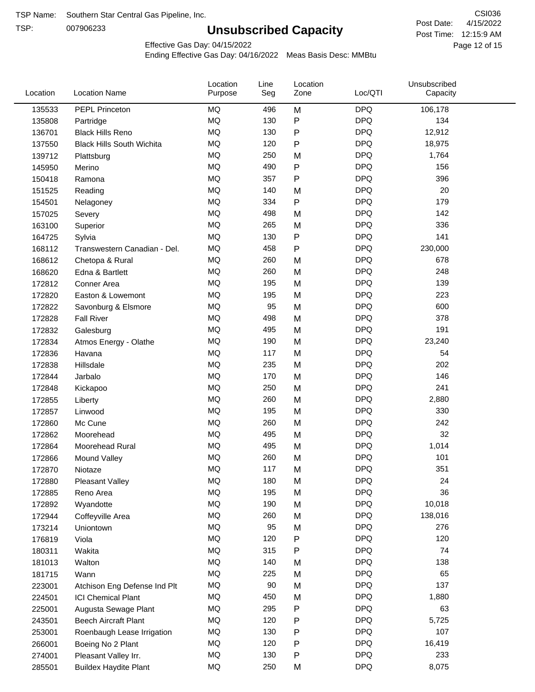TSP:

# **Unsubscribed Capacity**

4/15/2022 Page 12 of 15 Post Time: 12:15:9 AM CSI036 Post Date:

Effective Gas Day: 04/15/2022

| Location | <b>Location Name</b>             | Location<br>Purpose | Line<br>Seg | Location<br>Zone | Loc/QTI    | Unsubscribed<br>Capacity |  |
|----------|----------------------------------|---------------------|-------------|------------------|------------|--------------------------|--|
| 135533   | PEPL Princeton                   | <b>MQ</b>           | 496         | M                | <b>DPQ</b> | 106,178                  |  |
| 135808   | Partridge                        | MQ                  | 130         | P                | <b>DPQ</b> | 134                      |  |
| 136701   | <b>Black Hills Reno</b>          | MQ                  | 130         | P                | <b>DPQ</b> | 12,912                   |  |
| 137550   | <b>Black Hills South Wichita</b> | MQ                  | 120         | P                | <b>DPQ</b> | 18,975                   |  |
| 139712   | Plattsburg                       | <b>MQ</b>           | 250         | M                | <b>DPQ</b> | 1,764                    |  |
| 145950   | Merino                           | <b>MQ</b>           | 490         | P                | <b>DPQ</b> | 156                      |  |
| 150418   | Ramona                           | <b>MQ</b>           | 357         | P                | <b>DPQ</b> | 396                      |  |
| 151525   | Reading                          | <b>MQ</b>           | 140         | M                | <b>DPQ</b> | 20                       |  |
| 154501   | Nelagoney                        | <b>MQ</b>           | 334         | P                | <b>DPQ</b> | 179                      |  |
| 157025   | Severy                           | <b>MQ</b>           | 498         | M                | <b>DPQ</b> | 142                      |  |
| 163100   | Superior                         | MQ                  | 265         | M                | <b>DPQ</b> | 336                      |  |
| 164725   | Sylvia                           | MQ                  | 130         | P                | <b>DPQ</b> | 141                      |  |
| 168112   | Transwestern Canadian - Del.     | MQ                  | 458         | P                | <b>DPQ</b> | 230,000                  |  |
| 168612   | Chetopa & Rural                  | <b>MQ</b>           | 260         | M                | <b>DPQ</b> | 678                      |  |
| 168620   | Edna & Bartlett                  | <b>MQ</b>           | 260         | M                | <b>DPQ</b> | 248                      |  |
| 172812   | Conner Area                      | <b>MQ</b>           | 195         | M                | <b>DPQ</b> | 139                      |  |
| 172820   | Easton & Lowemont                | MQ                  | 195         | M                | <b>DPQ</b> | 223                      |  |
| 172822   | Savonburg & Elsmore              | MQ                  | 95          | M                | <b>DPQ</b> | 600                      |  |
| 172828   | <b>Fall River</b>                | <b>MQ</b>           | 498         | M                | <b>DPQ</b> | 378                      |  |
| 172832   | Galesburg                        | <b>MQ</b>           | 495         | M                | <b>DPQ</b> | 191                      |  |
| 172834   | Atmos Energy - Olathe            | MQ                  | 190         | M                | <b>DPQ</b> | 23,240                   |  |
| 172836   | Havana                           | MQ                  | 117         | M                | <b>DPQ</b> | 54                       |  |
| 172838   | Hillsdale                        | <b>MQ</b>           | 235         | M                | <b>DPQ</b> | 202                      |  |
| 172844   | Jarbalo                          | <b>MQ</b>           | 170         | M                | <b>DPQ</b> | 146                      |  |
| 172848   | Kickapoo                         | <b>MQ</b>           | 250         | M                | <b>DPQ</b> | 241                      |  |
| 172855   | Liberty                          | MQ                  | 260         | M                | <b>DPQ</b> | 2,880                    |  |
| 172857   | Linwood                          | MQ                  | 195         | M                | <b>DPQ</b> | 330                      |  |
| 172860   | Mc Cune                          | <b>MQ</b>           | 260         | M                | <b>DPQ</b> | 242                      |  |
| 172862   | Moorehead                        | <b>MQ</b>           | 495         | M                | <b>DPQ</b> | 32                       |  |
| 172864   | Moorehead Rural                  | MQ                  | 495         | M                | <b>DPQ</b> | 1,014                    |  |
| 172866   | Mound Valley                     | MQ                  | 260         | M                | <b>DPQ</b> | 101                      |  |
| 172870   | Niotaze                          | MQ                  | 117         | M                | <b>DPQ</b> | 351                      |  |
| 172880   | <b>Pleasant Valley</b>           | MQ                  | 180         | M                | <b>DPQ</b> | 24                       |  |
| 172885   | Reno Area                        | MQ                  | 195         | M                | <b>DPQ</b> | 36                       |  |
| 172892   | Wyandotte                        | MQ                  | 190         | M                | <b>DPQ</b> | 10,018                   |  |
| 172944   | Coffeyville Area                 | $\sf{MQ}$           | 260         | M                | <b>DPQ</b> | 138,016                  |  |
| 173214   | Uniontown                        | MQ                  | 95          | M                | <b>DPQ</b> | 276                      |  |
| 176819   | Viola                            | MQ                  | 120         | P                | <b>DPQ</b> | 120                      |  |
| 180311   | Wakita                           | MQ                  | 315         | P                | <b>DPQ</b> | 74                       |  |
| 181013   | Walton                           | MQ                  | 140         | M                | <b>DPQ</b> | 138                      |  |
| 181715   | Wann                             | MQ                  | 225         | M                | <b>DPQ</b> | 65                       |  |
| 223001   | Atchison Eng Defense Ind Plt     | MQ                  | 90          | M                | <b>DPQ</b> | 137                      |  |
| 224501   | <b>ICI Chemical Plant</b>        | $\sf{MQ}$           | 450         | M                | <b>DPQ</b> | 1,880                    |  |
| 225001   | Augusta Sewage Plant             | MQ                  | 295         | Ρ                | <b>DPQ</b> | 63                       |  |
| 243501   | <b>Beech Aircraft Plant</b>      | MQ                  | 120         | Ρ                | <b>DPQ</b> | 5,725                    |  |
| 253001   | Roenbaugh Lease Irrigation       | MQ                  | 130         | Ρ                | <b>DPQ</b> | 107                      |  |
| 266001   | Boeing No 2 Plant                | MQ                  | 120         | Ρ                | <b>DPQ</b> | 16,419                   |  |
| 274001   | Pleasant Valley Irr.             | MQ                  | 130         | Ρ                | <b>DPQ</b> | 233                      |  |
| 285501   | <b>Buildex Haydite Plant</b>     | MQ                  | 250         | M                | <b>DPQ</b> | 8,075                    |  |
|          |                                  |                     |             |                  |            |                          |  |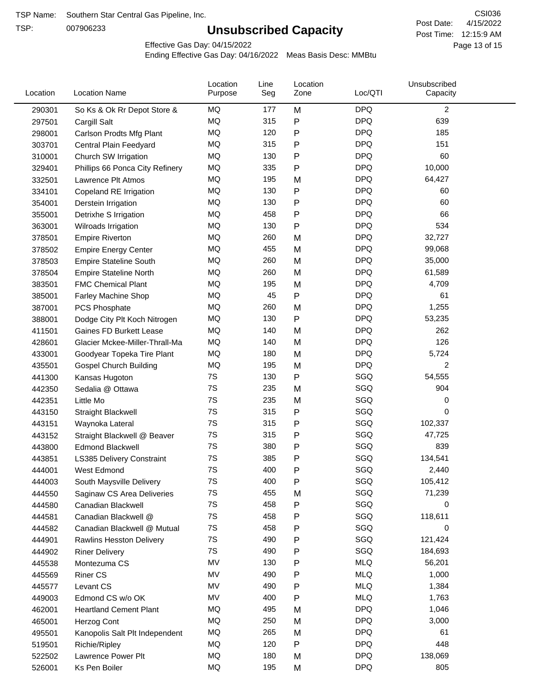TSP:

# **Unsubscribed Capacity**

4/15/2022 Page 13 of 15 Post Time: 12:15:9 AM CSI036 Post Date:

Effective Gas Day: 04/15/2022

| Location | <b>Location Name</b>            | Location<br>Purpose | Line<br>Seg | Location<br>Zone | Loc/QTI    | Unsubscribed<br>Capacity |  |
|----------|---------------------------------|---------------------|-------------|------------------|------------|--------------------------|--|
| 290301   | So Ks & Ok Rr Depot Store &     | MQ                  | 177         | M                | <b>DPQ</b> | $\overline{c}$           |  |
| 297501   | Cargill Salt                    | MQ                  | 315         | P                | <b>DPQ</b> | 639                      |  |
| 298001   | Carlson Prodts Mfg Plant        | MQ                  | 120         | P                | <b>DPQ</b> | 185                      |  |
| 303701   | Central Plain Feedyard          | <b>MQ</b>           | 315         | ${\sf P}$        | <b>DPQ</b> | 151                      |  |
| 310001   | Church SW Irrigation            | <b>MQ</b>           | 130         | P                | <b>DPQ</b> | 60                       |  |
| 329401   | Phillips 66 Ponca City Refinery | MQ                  | 335         | $\mathsf{P}$     | <b>DPQ</b> | 10,000                   |  |
| 332501   | Lawrence Plt Atmos              | MQ                  | 195         | M                | <b>DPQ</b> | 64,427                   |  |
| 334101   | Copeland RE Irrigation          | MQ                  | 130         | ${\sf P}$        | <b>DPQ</b> | 60                       |  |
| 354001   | Derstein Irrigation             | MQ                  | 130         | P                | <b>DPQ</b> | 60                       |  |
| 355001   | Detrixhe S Irrigation           | MQ                  | 458         | P                | <b>DPQ</b> | 66                       |  |
| 363001   | Wilroads Irrigation             | MQ                  | 130         | P                | <b>DPQ</b> | 534                      |  |
| 378501   | <b>Empire Riverton</b>          | MQ                  | 260         | M                | <b>DPQ</b> | 32,727                   |  |
| 378502   | <b>Empire Energy Center</b>     | MQ                  | 455         | M                | <b>DPQ</b> | 99,068                   |  |
| 378503   | <b>Empire Stateline South</b>   | MQ                  | 260         | M                | <b>DPQ</b> | 35,000                   |  |
| 378504   | <b>Empire Stateline North</b>   | MQ                  | 260         | M                | <b>DPQ</b> | 61,589                   |  |
| 383501   | <b>FMC Chemical Plant</b>       | MQ                  | 195         | M                | <b>DPQ</b> | 4,709                    |  |
| 385001   | Farley Machine Shop             | MQ                  | 45          | P                | <b>DPQ</b> | 61                       |  |
| 387001   | <b>PCS Phosphate</b>            | MQ                  | 260         | M                | <b>DPQ</b> | 1,255                    |  |
| 388001   | Dodge City Plt Koch Nitrogen    | MQ                  | 130         | P                | <b>DPQ</b> | 53,235                   |  |
| 411501   | Gaines FD Burkett Lease         | MQ                  | 140         | M                | <b>DPQ</b> | 262                      |  |
| 428601   | Glacier Mckee-Miller-Thrall-Ma  | MQ                  | 140         | M                | <b>DPQ</b> | 126                      |  |
| 433001   | Goodyear Topeka Tire Plant      | MQ                  | 180         | M                | <b>DPQ</b> | 5,724                    |  |
| 435501   | <b>Gospel Church Building</b>   | MQ                  | 195         | M                | <b>DPQ</b> | $\overline{2}$           |  |
| 441300   | Kansas Hugoton                  | 7S                  | 130         | P                | SGQ        | 54,555                   |  |
| 442350   | Sedalia @ Ottawa                | 7S                  | 235         | M                | SGQ        | 904                      |  |
| 442351   | Little Mo                       | 7S                  | 235         | M                | SGQ        | 0                        |  |
| 443150   | Straight Blackwell              | 7S                  | 315         | ${\sf P}$        | SGQ        | 0                        |  |
| 443151   | Waynoka Lateral                 | 7S                  | 315         | P                | SGQ        | 102,337                  |  |
| 443152   | Straight Blackwell @ Beaver     | 7S                  | 315         | ${\sf P}$        | SGQ        | 47,725                   |  |
| 443800   | <b>Edmond Blackwell</b>         | 7S                  | 380         | P                | SGQ        | 839                      |  |
| 443851   | LS385 Delivery Constraint       | 7S                  | 385         | P                | SGQ        | 134,541                  |  |
| 444001   | West Edmond                     | 7S                  | 400         | P                | SGQ        | 2,440                    |  |
| 444003   | South Maysville Delivery        | 7S                  | 400         | P                | SGQ        | 105,412                  |  |
| 444550   | Saginaw CS Area Deliveries      | 7S                  | 455         | M                | SGQ        | 71,239                   |  |
| 444580   | Canadian Blackwell              | 7S                  | 458         | P                | SGQ        | 0                        |  |
| 444581   | Canadian Blackwell @            | 7S                  | 458         | P                | SGQ        | 118,611                  |  |
| 444582   | Canadian Blackwell @ Mutual     | 7S                  | 458         | P                | SGQ        | 0                        |  |
| 444901   | <b>Rawlins Hesston Delivery</b> | 7S                  | 490         | P                | SGQ        | 121,424                  |  |
| 444902   | <b>Riner Delivery</b>           | 7S                  | 490         | P                | SGQ        | 184,693                  |  |
| 445538   | Montezuma CS                    | MV                  | 130         | P                | <b>MLQ</b> | 56,201                   |  |
| 445569   | <b>Riner CS</b>                 | MV                  | 490         | P                | <b>MLQ</b> | 1,000                    |  |
| 445577   | Levant CS                       | MV                  | 490         | P                | <b>MLQ</b> | 1,384                    |  |
| 449003   | Edmond CS w/o OK                | MV                  | 400         | ${\sf P}$        | <b>MLQ</b> | 1,763                    |  |
| 462001   | <b>Heartland Cement Plant</b>   | MQ                  | 495         | M                | <b>DPQ</b> | 1,046                    |  |
| 465001   | Herzog Cont                     | MQ                  | 250         | M                | <b>DPQ</b> | 3,000                    |  |
| 495501   | Kanopolis Salt Plt Independent  | MQ                  | 265         | M                | <b>DPQ</b> | 61                       |  |
| 519501   | Richie/Ripley                   | MQ                  | 120         | P                | <b>DPQ</b> | 448                      |  |
| 522502   | Lawrence Power Plt              | MQ                  | 180         | M                | <b>DPQ</b> | 138,069                  |  |
| 526001   | Ks Pen Boiler                   | MQ                  | 195         | M                | <b>DPQ</b> | 805                      |  |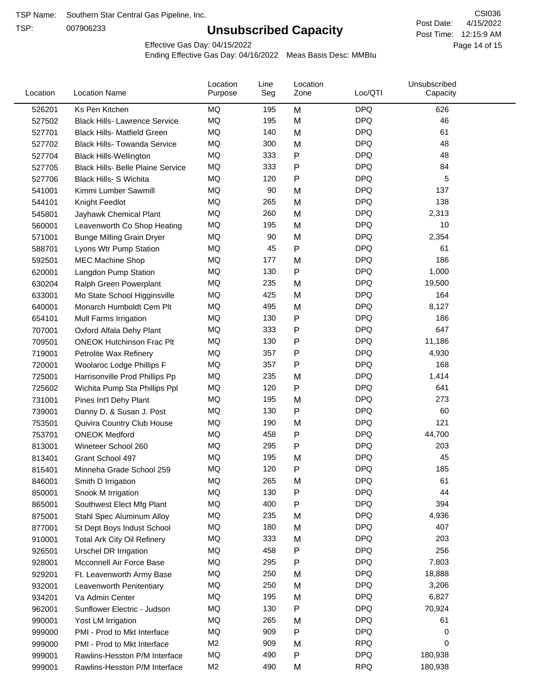TSP:

# **Unsubscribed Capacity**

4/15/2022 Page 14 of 15 Post Time: 12:15:9 AM CSI036 Post Date:

Effective Gas Day: 04/15/2022

| Location | <b>Location Name</b>                     | Location<br>Purpose | Line<br>Seg | Location<br>Zone | Loc/QTI    | Unsubscribed<br>Capacity |  |
|----------|------------------------------------------|---------------------|-------------|------------------|------------|--------------------------|--|
| 526201   | Ks Pen Kitchen                           | <b>MQ</b>           | 195         | M                | <b>DPQ</b> | 626                      |  |
| 527502   | <b>Black Hills- Lawrence Service</b>     | MQ                  | 195         | M                | <b>DPQ</b> | 46                       |  |
| 527701   | <b>Black Hills- Matfield Green</b>       | MQ                  | 140         | M                | <b>DPQ</b> | 61                       |  |
| 527702   | <b>Black Hills- Towanda Service</b>      | MQ                  | 300         | M                | <b>DPQ</b> | 48                       |  |
| 527704   | <b>Black Hills-Wellington</b>            | <b>MQ</b>           | 333         | ${\sf P}$        | <b>DPQ</b> | 48                       |  |
| 527705   | <b>Black Hills- Belle Plaine Service</b> | MQ                  | 333         | P                | <b>DPQ</b> | 84                       |  |
| 527706   | <b>Black Hills- S Wichita</b>            | MQ                  | 120         | ${\sf P}$        | <b>DPQ</b> | 5                        |  |
| 541001   | Kimmi Lumber Sawmill                     | MQ                  | 90          | M                | <b>DPQ</b> | 137                      |  |
| 544101   | Knight Feedlot                           | MQ                  | 265         | M                | <b>DPQ</b> | 138                      |  |
| 545801   | Jayhawk Chemical Plant                   | <b>MQ</b>           | 260         | M                | <b>DPQ</b> | 2,313                    |  |
| 560001   | Leavenworth Co Shop Heating              | MQ                  | 195         | M                | <b>DPQ</b> | 10                       |  |
| 571001   | <b>Bunge Milling Grain Dryer</b>         | MQ                  | 90          | M                | <b>DPQ</b> | 2,354                    |  |
| 588701   | Lyons Wtr Pump Station                   | MQ                  | 45          | ${\sf P}$        | <b>DPQ</b> | 61                       |  |
| 592501   | <b>MEC Machine Shop</b>                  | <b>MQ</b>           | 177         | M                | <b>DPQ</b> | 186                      |  |
| 620001   | Langdon Pump Station                     | MQ                  | 130         | ${\sf P}$        | <b>DPQ</b> | 1,000                    |  |
| 630204   | Ralph Green Powerplant                   | MQ                  | 235         | M                | <b>DPQ</b> | 19,500                   |  |
| 633001   | Mo State School Higginsville             | MQ                  | 425         | M                | <b>DPQ</b> | 164                      |  |
| 640001   | Monarch Humboldt Cem Plt                 | MQ                  | 495         | M                | <b>DPQ</b> | 8,127                    |  |
| 654101   | Mull Farms Irrigation                    | MQ                  | 130         | ${\sf P}$        | <b>DPQ</b> | 186                      |  |
| 707001   | Oxford Alfala Dehy Plant                 | MQ                  | 333         | P                | <b>DPQ</b> | 647                      |  |
| 709501   | <b>ONEOK Hutchinson Frac Plt</b>         | MQ                  | 130         | ${\sf P}$        | <b>DPQ</b> | 11,186                   |  |
| 719001   | Petrolite Wax Refinery                   | MQ                  | 357         | $\mathsf{P}$     | <b>DPQ</b> | 4,930                    |  |
| 720001   | Woolaroc Lodge Phillips F                | MQ                  | 357         | $\mathsf{P}$     | <b>DPQ</b> | 168                      |  |
| 725001   | Harrisonville Prod Phillips Pp           | <b>MQ</b>           | 235         | M                | <b>DPQ</b> | 1,414                    |  |
| 725602   | Wichita Pump Sta Phillips Ppl            | MQ                  | 120         | $\mathsf{P}$     | <b>DPQ</b> | 641                      |  |
| 731001   | Pines Int'l Dehy Plant                   | MQ                  | 195         | M                | <b>DPQ</b> | 273                      |  |
| 739001   | Danny D. & Susan J. Post                 | MQ                  | 130         | P                | <b>DPQ</b> | 60                       |  |
| 753501   | Quivira Country Club House               | MQ                  | 190         | M                | <b>DPQ</b> | 121                      |  |
| 753701   | <b>ONEOK Medford</b>                     | MQ                  | 458         | ${\sf P}$        | <b>DPQ</b> | 44,700                   |  |
| 813001   | Wineteer School 260                      | MQ                  | 295         | ${\sf P}$        | <b>DPQ</b> | 203                      |  |
| 813401   | Grant School 497                         | MQ                  | 195         | M                | <b>DPQ</b> | 45                       |  |
| 815401   | Minneha Grade School 259                 | MQ                  | 120         | P                | <b>DPQ</b> | 185                      |  |
| 846001   | Smith D Irrigation                       | MQ                  | 265         | M                | <b>DPQ</b> | 61                       |  |
| 850001   | Snook M Irrigation                       | MQ                  | 130         | P                | <b>DPQ</b> | 44                       |  |
| 865001   | Southwest Elect Mfg Plant                | MQ                  | 400         | ${\sf P}$        | <b>DPQ</b> | 394                      |  |
| 875001   | Stahl Spec Aluminum Alloy                | MQ                  | 235         | M                | <b>DPQ</b> | 4,936                    |  |
| 877001   | St Dept Boys Indust School               | MQ                  | 180         | M                | <b>DPQ</b> | 407                      |  |
| 910001   | <b>Total Ark City Oil Refinery</b>       | MQ                  | 333         | M                | <b>DPQ</b> | 203                      |  |
| 926501   | Urschel DR Irrigation                    | MQ                  | 458         | P                | <b>DPQ</b> | 256                      |  |
| 928001   | Mcconnell Air Force Base                 | MQ                  | 295         | P                | <b>DPQ</b> | 7,803                    |  |
| 929201   | Ft. Leavenworth Army Base                | MQ                  | 250         | M                | <b>DPQ</b> | 18,888                   |  |
| 932001   | Leavenworth Penitentiary                 | MQ                  | 250         | M                | <b>DPQ</b> | 3,206                    |  |
| 934201   | Va Admin Center                          | MQ                  | 195         | M                | <b>DPQ</b> | 6,827                    |  |
| 962001   | Sunflower Electric - Judson              | MQ                  | 130         | ${\sf P}$        | <b>DPQ</b> | 70,924                   |  |
| 990001   | Yost LM Irrigation                       | MQ                  | 265         | M                | <b>DPQ</b> | 61                       |  |
| 999000   | PMI - Prod to Mkt Interface              | MQ                  | 909         | P                | <b>DPQ</b> | 0                        |  |
| 999000   | PMI - Prod to Mkt Interface              | M <sub>2</sub>      | 909         | M                | <b>RPQ</b> | $\Omega$                 |  |
| 999001   | Rawlins-Hesston P/M Interface            | MQ                  | 490         | P                | <b>DPQ</b> | 180,938                  |  |
| 999001   | Rawlins-Hesston P/M Interface            | M <sub>2</sub>      | 490         | M                | <b>RPQ</b> | 180,938                  |  |